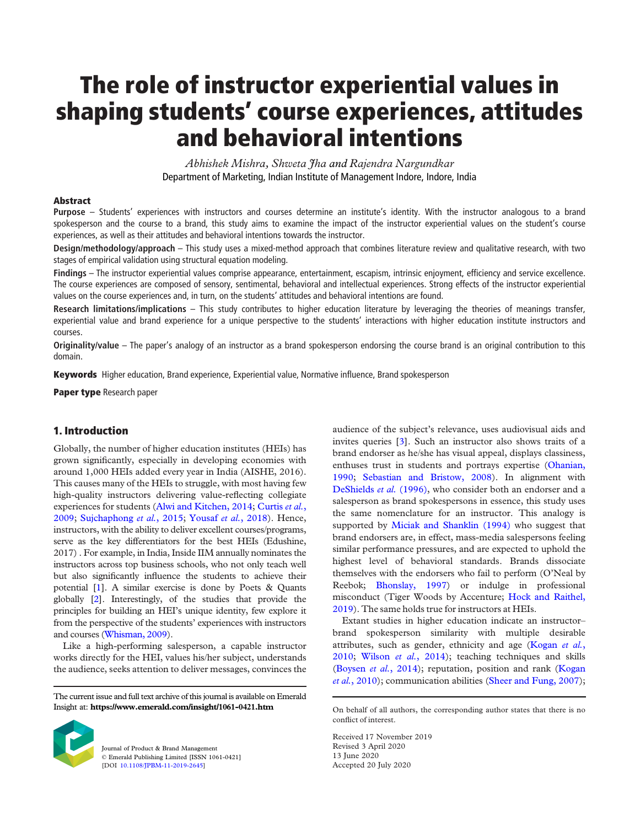# The role of instructor experiential values in shaping students' course experiences, attitudes and behavioral intentions

*Abhishek Mishra, Shweta Jha and Rajendra Nargundkar* Department of Marketing, Indian Institute of Management Indore, Indore, India

#### Abstract

Purpose – Students' experiences with instructors and courses determine an institute's identity. With the instructor analogous to a brand spokesperson and the course to a brand, this study aims to examine the impact of the instructor experiential values on the student's course experiences, as well as their attitudes and behavioral intentions towards the instructor.

Design/methodology/approach – This study uses a mixed-method approach that combines literature review and qualitative research, with two stages of empirical validation using structural equation modeling.

Findings – The instructor experiential values comprise appearance, entertainment, escapism, intrinsic enjoyment, efficiency and service excellence. The course experiences are composed of sensory, sentimental, behavioral and intellectual experiences. Strong effects of the instructor experiential values on the course experiences and, in turn, on the students' attitudes and behavioral intentions are found.

Research limitations/implications – This study contributes to higher education literature by leveraging the theories of meanings transfer, experiential value and brand experience for a unique perspective to the students' interactions with higher education institute instructors and courses.

Originality/value – The paper's analogy of an instructor as a brand spokesperson endorsing the course brand is an original contribution to this domain.

Keywords Higher education, Brand experience, Experiential value, Normative influence, Brand spokesperson

Paper type Research paper

# 1. Introduction

Globally, the number of higher education institutes (HEIs) has grown significantly, especially in developing economies with around 1,000 HEIs added every year in India (AISHE, 2016). This causes many of the HEIs to struggle, with most having few high-quality instructors delivering value-reflecting collegiate experiences for students (Alwi and Kitchen, 2014; Curtis *et al.*, 2009; Sujchaphong *et al.*, 2015; Yousaf *et al.*, 2018). Hence, instructors, with the ability to deliver excellent courses/programs, serve as the key differentiators for the best HEIs (Edushine, 2017) . For example, in India, Inside IIM annually nominates the instructors across top business schools, who not only teach well but also significantly influence the students to achieve their potential [1]. A similar exercise is done by Poets & Quants globally [2]. Interestingly, of the studies that provide the principles for building an HEI's unique identity, few explore it from the perspective of the students' experiences with instructors and courses (Whisman, 2009).

Like a high-performing salesperson, a capable instructor works directly for the HEI, values his/her subject, understands the audience, seeks attention to deliver messages, convinces the

The current issue and full text archive of this journal is available on Emerald Insight at: https://www.emerald.com/insight/1061-0421.htm



Journal of Product & Brand Management © Emerald Publishing Limited [ISSN 1061-0421] [DOI 10.1108/JPBM-11-2019-2645]

audience of the subject's relevance, uses audiovisual aids and invites queries [3]. Such an instructor also shows traits of a brand endorser as he/she has visual appeal, displays classiness, enthuses trust in students and portrays expertise (Ohanian, 1990; Sebastian and Bristow, 2008). In alignment with DeShields *et al.* (1996), who consider both an endorser and a salesperson as brand spokespersons in essence, this study uses the same nomenclature for an instructor. This analogy is supported by Miciak and Shanklin (1994) who suggest that brand endorsers are, in effect, mass-media salespersons feeling similar performance pressures, and are expected to uphold the highest level of behavioral standards. Brands dissociate themselves with the endorsers who fail to perform (O'Neal by Reebok; Bhonslay, 1997) or indulge in professional misconduct (Tiger Woods by Accenture; Hock and Raithel, 2019). The same holds true for instructors at HEIs.

Extant studies in higher education indicate an instructor– brand spokesperson similarity with multiple desirable attributes, such as gender, ethnicity and age (Kogan *et al.*, 2010; Wilson *et al.*, 2014); teaching techniques and skills (Boysen *et al.*, 2014); reputation, position and rank (Kogan *et al.*, 2010); communication abilities (Sheer and Fung, 2007);

Received 17 November 2019 Revised 3 April 2020 13 June 2020 Accepted 20 July 2020

On behalf of all authors, the corresponding author states that there is no conflict of interest.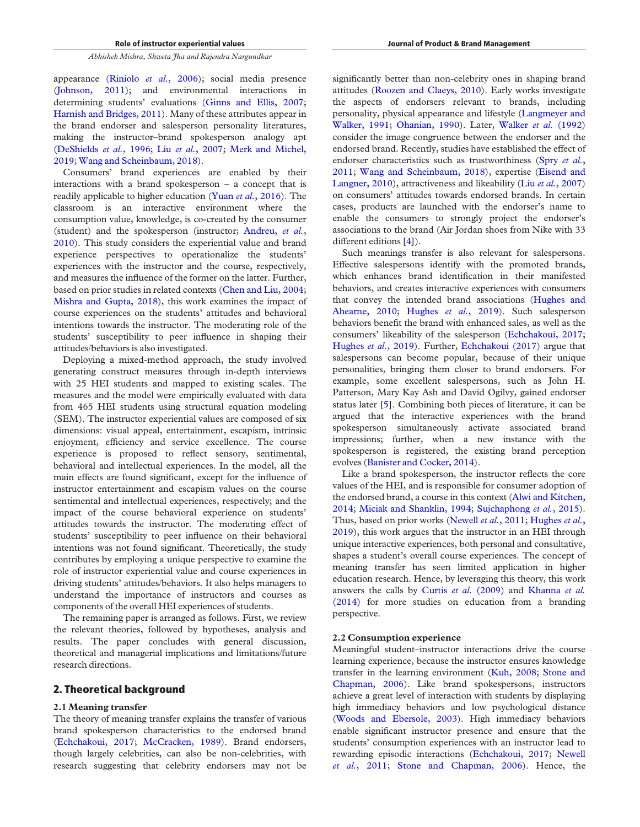appearance (Riniolo *et al.*, 2006); social media presence (Johnson, 2011); and environmental interactions in determining students' evaluations (Ginns and Ellis, 2007; Harnish and Bridges, 2011). Many of these attributes appear in the brand endorser and salesperson personality literatures, making the instructor–brand spokesperson analogy apt (DeShields *et al.*, 1996; Liu *et al.*, 2007; Merk and Michel, 2019; Wang and Scheinbaum, 2018).

Consumers' brand experiences are enabled by their interactions with a brand spokesperson – a concept that is readily applicable to higher education (Yuan *et al.*, 2016). The classroom is an interactive environment where the consumption value, knowledge, is co-created by the consumer (student) and the spokesperson (instructor; Andreu, *et al.*, 2010). This study considers the experiential value and brand experience perspectives to operationalize the students' experiences with the instructor and the course, respectively, and measures the influence of the former on the latter. Further, based on prior studies in related contexts (Chen and Liu, 2004; Mishra and Gupta, 2018), this work examines the impact of course experiences on the students' attitudes and behavioral intentions towards the instructor. The moderating role of the students' susceptibility to peer influence in shaping their attitudes/behaviors is also investigated.

Deploying a mixed-method approach, the study involved generating construct measures through in-depth interviews with 25 HEI students and mapped to existing scales. The measures and the model were empirically evaluated with data from 465 HEI students using structural equation modeling (SEM). The instructor experiential values are composed of six dimensions: visual appeal, entertainment, escapism, intrinsic enjoyment, efficiency and service excellence. The course experience is proposed to reflect sensory, sentimental, behavioral and intellectual experiences. In the model, all the main effects are found significant, except for the influence of instructor entertainment and escapism values on the course sentimental and intellectual experiences, respectively; and the impact of the course behavioral experience on students' attitudes towards the instructor. The moderating effect of students' susceptibility to peer influence on their behavioral intentions was not found significant. Theoretically, the study contributes by employing a unique perspective to examine the role of instructor experiential value and course experiences in driving students' attitudes/behaviors. It also helps managers to understand the importance of instructors and courses as components of the overall HEI experiences of students.

The remaining paper is arranged as follows. First, we review the relevant theories, followed by hypotheses, analysis and results. The paper concludes with general discussion, theoretical and managerial implications and limitations/future research directions.

## 2. Theoretical background

#### 2.1 Meaning transfer

The theory of meaning transfer explains the transfer of various brand spokesperson characteristics to the endorsed brand (Echchakoui, 2017; McCracken, 1989). Brand endorsers, though largely celebrities, can also be non-celebrities, with research suggesting that celebrity endorsers may not be

significantly better than non-celebrity ones in shaping brand attitudes (Roozen and Claeys, 2010). Early works investigate the aspects of endorsers relevant to brands, including personality, physical appearance and lifestyle (Langmeyer and Walker, 1991; Ohanian, 1990). Later, Walker *et al.* (1992) consider the image congruence between the endorser and the endorsed brand. Recently, studies have established the effect of endorser characteristics such as trustworthiness (Spry *et al.*, 2011; Wang and Scheinbaum, 2018), expertise (Eisend and Langner, 2010), attractiveness and likeability (Liu *et al.*, 2007) on consumers' attitudes towards endorsed brands. In certain cases, products are launched with the endorser's name to enable the consumers to strongly project the endorser's associations to the brand (Air Jordan shoes from Nike with 33 different editions [4]).

Such meanings transfer is also relevant for salespersons. Effective salespersons identify with the promoted brands, which enhances brand identification in their manifested behaviors, and creates interactive experiences with consumers that convey the intended brand associations (Hughes and Ahearne, 2010; Hughes *et al.*, 2019). Such salesperson behaviors benefit the brand with enhanced sales, as well as the consumers' likeability of the salesperson (Echchakoui, 2017; Hughes *et al.*, 2019). Further, Echchakoui (2017) argue that salespersons can become popular, because of their unique personalities, bringing them closer to brand endorsers. For example, some excellent salespersons, such as John H. Patterson, Mary Kay Ash and David Ogilvy, gained endorser status later [5]. Combining both pieces of literature, it can be argued that the interactive experiences with the brand spokesperson simultaneously activate associated brand impressions; further, when a new instance with the spokesperson is registered, the existing brand perception evolves (Banister and Cocker, 2014).

Like a brand spokesperson, the instructor reflects the core values of the HEI, and is responsible for consumer adoption of the endorsed brand, a course in this context (Alwi and Kitchen, 2014; Miciak and Shanklin, 1994; Sujchaphong *et al.*, 2015). Thus, based on prior works (Newell *et al.*, 2011; Hughes *et al.*, 2019), this work argues that the instructor in an HEI through unique interactive experiences, both personal and consultative, shapes a student's overall course experiences. The concept of meaning transfer has seen limited application in higher education research. Hence, by leveraging this theory, this work answers the calls by Curtis *et al.* (2009) and Khanna *et al.* (2014) for more studies on education from a branding perspective.

## 2.2 Consumption experience

Meaningful student–instructor interactions drive the course learning experience, because the instructor ensures knowledge transfer in the learning environment (Kuh, 2008; Stone and Chapman, 2006). Like brand spokespersons, instructors achieve a great level of interaction with students by displaying high immediacy behaviors and low psychological distance (Woods and Ebersole, 2003). High immediacy behaviors enable significant instructor presence and ensure that the students' consumption experiences with an instructor lead to rewarding episodic interactions (Echchakoui, 2017; Newell *et al.*, 2011; Stone and Chapman, 2006). Hence, the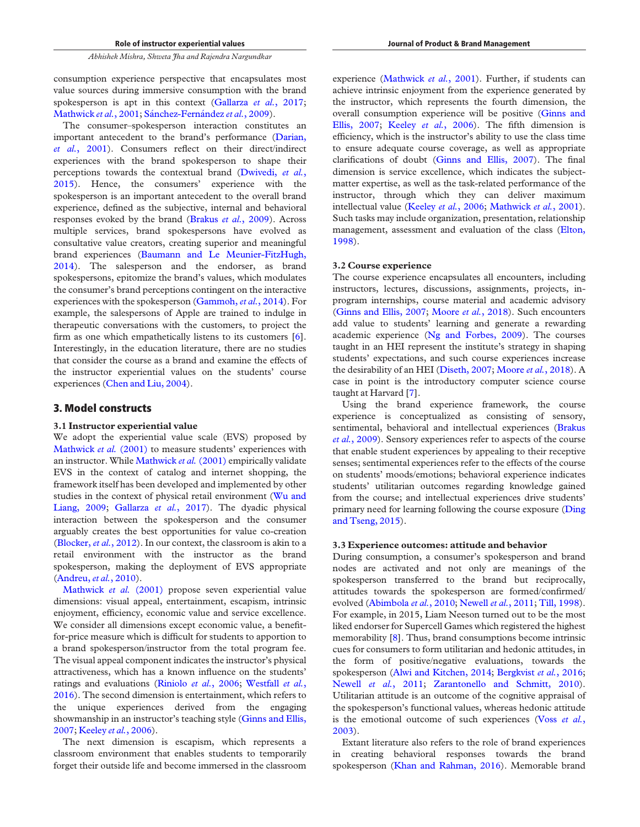consumption experience perspective that encapsulates most value sources during immersive consumption with the brand spokesperson is apt in this context (Gallarza *et al.*, 2017; Mathwick et al., 2001; Sánchez-Fernández et al., 2009).

The consumer–spokesperson interaction constitutes an important antecedent to the brand's performance (Darian, *et al.*, 2001). Consumers reflect on their direct/indirect experiences with the brand spokesperson to shape their perceptions towards the contextual brand (Dwivedi, *et al.*, 2015). Hence, the consumers' experience with the spokesperson is an important antecedent to the overall brand experience, defined as the subjective, internal and behavioral responses evoked by the brand (Brakus *et al.*, 2009). Across multiple services, brand spokespersons have evolved as consultative value creators, creating superior and meaningful brand experiences (Baumann and Le Meunier-FitzHugh, 2014). The salesperson and the endorser, as brand spokespersons, epitomize the brand's values, which modulates the consumer's brand perceptions contingent on the interactive experiences with the spokesperson (Gammoh, *et al.*, 2014). For example, the salespersons of Apple are trained to indulge in therapeutic conversations with the customers, to project the firm as one which empathetically listens to its customers [6]. Interestingly, in the education literature, there are no studies that consider the course as a brand and examine the effects of the instructor experiential values on the students' course experiences (Chen and Liu, 2004).

# 3. Model constructs

#### 3.1 Instructor experiential value

We adopt the experiential value scale (EVS) proposed by Mathwick *et al.* (2001) to measure students' experiences with an instructor. While Mathwick *et al.* (2001) empirically validate EVS in the context of catalog and internet shopping, the framework itself has been developed and implemented by other studies in the context of physical retail environment (Wu and Liang, 2009; Gallarza *et al.*, 2017). The dyadic physical interaction between the spokesperson and the consumer arguably creates the best opportunities for value co-creation (Blocker, *et al.*, 2012). In our context, the classroom is akin to a retail environment with the instructor as the brand spokesperson, making the deployment of EVS appropriate (Andreu, *et al.*, 2010).

Mathwick *et al.* (2001) propose seven experiential value dimensions: visual appeal, entertainment, escapism, intrinsic enjoyment, efficiency, economic value and service excellence. We consider all dimensions except economic value, a benefitfor-price measure which is difficult for students to apportion to a brand spokesperson/instructor from the total program fee. The visual appeal component indicates the instructor's physical attractiveness, which has a known influence on the students' ratings and evaluations (Riniolo *et al.*, 2006; Westfall *et al.*, 2016). The second dimension is entertainment, which refers to the unique experiences derived from the engaging showmanship in an instructor's teaching style (Ginns and Ellis, 2007; Keeley *et al.*, 2006).

The next dimension is escapism, which represents a classroom environment that enables students to temporarily forget their outside life and become immersed in the classroom

experience (Mathwick *et al.*, 2001). Further, if students can achieve intrinsic enjoyment from the experience generated by the instructor, which represents the fourth dimension, the overall consumption experience will be positive (Ginns and Ellis, 2007; Keeley *et al.*, 2006). The fifth dimension is efficiency, which is the instructor's ability to use the class time to ensure adequate course coverage, as well as appropriate clarifications of doubt (Ginns and Ellis, 2007). The final dimension is service excellence, which indicates the subjectmatter expertise, as well as the task-related performance of the instructor, through which they can deliver maximum intellectual value (Keeley *et al.*, 2006; Mathwick *et al.*, 2001). Such tasks may include organization, presentation, relationship management, assessment and evaluation of the class (Elton, 1998).

## 3.2 Course experience

The course experience encapsulates all encounters, including instructors, lectures, discussions, assignments, projects, inprogram internships, course material and academic advisory (Ginns and Ellis, 2007; Moore *et al.*, 2018). Such encounters add value to students' learning and generate a rewarding academic experience (Ng and Forbes, 2009). The courses taught in an HEI represent the institute's strategy in shaping students' expectations, and such course experiences increase the desirability of an HEI (Diseth, 2007; Moore *et al.*, 2018). A case in point is the introductory computer science course taught at Harvard [7].

Using the brand experience framework, the course experience is conceptualized as consisting of sensory, sentimental, behavioral and intellectual experiences (Brakus *et al.*, 2009). Sensory experiences refer to aspects of the course that enable student experiences by appealing to their receptive senses; sentimental experiences refer to the effects of the course on students' moods/emotions; behavioral experience indicates students' utilitarian outcomes regarding knowledge gained from the course; and intellectual experiences drive students' primary need for learning following the course exposure (Ding and Tseng, 2015).

#### 3.3 Experience outcomes: attitude and behavior

During consumption, a consumer's spokesperson and brand nodes are activated and not only are meanings of the spokesperson transferred to the brand but reciprocally, attitudes towards the spokesperson are formed/confirmed/ evolved (Abimbola *et al.*, 2010; Newell *et al.*, 2011; Till, 1998). For example, in 2015, Liam Neeson turned out to be the most liked endorser for Supercell Games which registered the highest memorability [8]. Thus, brand consumptions become intrinsic cues for consumers to form utilitarian and hedonic attitudes, in the form of positive/negative evaluations, towards the spokesperson (Alwi and Kitchen, 2014; Bergkvist *et al.*, 2016; Newell *et al.*, 2011; Zarantonello and Schmitt, 2010). Utilitarian attitude is an outcome of the cognitive appraisal of the spokesperson's functional values, whereas hedonic attitude is the emotional outcome of such experiences (Voss *et al.*, 2003).

Extant literature also refers to the role of brand experiences in creating behavioral responses towards the brand spokesperson (Khan and Rahman, 2016). Memorable brand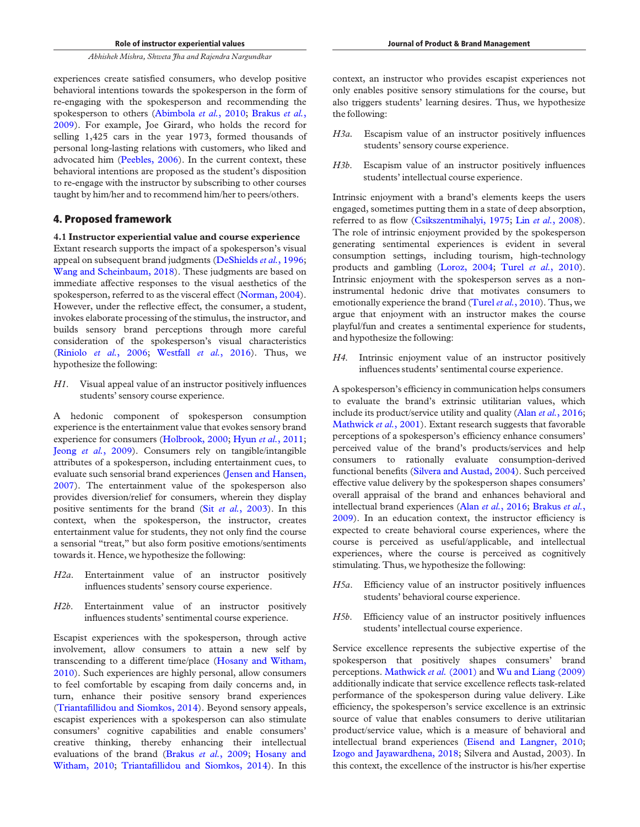experiences create satisfied consumers, who develop positive behavioral intentions towards the spokesperson in the form of re-engaging with the spokesperson and recommending the spokesperson to others (Abimbola *et al.*, 2010; Brakus *et al.*, 2009). For example, Joe Girard, who holds the record for selling 1,425 cars in the year 1973, formed thousands of personal long-lasting relations with customers, who liked and advocated him (Peebles, 2006). In the current context, these behavioral intentions are proposed as the student's disposition to re-engage with the instructor by subscribing to other courses taught by him/her and to recommend him/her to peers/others.

## 4. Proposed framework

4.1 Instructor experiential value and course experience Extant research supports the impact of a spokesperson's visual appeal on subsequent brand judgments (DeShields *et al.*, 1996; Wang and Scheinbaum, 2018). These judgments are based on immediate affective responses to the visual aesthetics of the spokesperson, referred to as the visceral effect (Norman, 2004). However, under the reflective effect, the consumer, a student, invokes elaborate processing of the stimulus, the instructor, and builds sensory brand perceptions through more careful consideration of the spokesperson's visual characteristics (Riniolo *et al.*, 2006; Westfall *et al.*, 2016). Thus, we hypothesize the following:

*H1*. Visual appeal value of an instructor positively influences students' sensory course experience.

A hedonic component of spokesperson consumption experience is the entertainment value that evokes sensory brand experience for consumers (Holbrook, 2000; Hyun *et al.*, 2011; Jeong *et al.*, 2009). Consumers rely on tangible/intangible attributes of a spokesperson, including entertainment cues, to evaluate such sensorial brand experiences (Jensen and Hansen, 2007). The entertainment value of the spokesperson also provides diversion/relief for consumers, wherein they display positive sentiments for the brand (Sit *et al.*, 2003). In this context, when the spokesperson, the instructor, creates entertainment value for students, they not only find the course a sensorial "treat," but also form positive emotions/sentiments towards it. Hence, we hypothesize the following:

- *H2a*. Entertainment value of an instructor positively influences students'sensory course experience.
- *H2b*. Entertainment value of an instructor positively influences students'sentimental course experience.

Escapist experiences with the spokesperson, through active involvement, allow consumers to attain a new self by transcending to a different time/place (Hosany and Witham, 2010). Such experiences are highly personal, allow consumers to feel comfortable by escaping from daily concerns and, in turn, enhance their positive sensory brand experiences (Triantafillidou and Siomkos, 2014). Beyond sensory appeals, escapist experiences with a spokesperson can also stimulate consumers' cognitive capabilities and enable consumers' creative thinking, thereby enhancing their intellectual evaluations of the brand (Brakus *et al.*, 2009; Hosany and Witham, 2010; Triantafillidou and Siomkos, 2014). In this

context, an instructor who provides escapist experiences not only enables positive sensory stimulations for the course, but also triggers students' learning desires. Thus, we hypothesize the following:

- *H3a.* Escapism value of an instructor positively influences students'sensory course experience.
- *H3b*. Escapism value of an instructor positively influences students' intellectual course experience.

Intrinsic enjoyment with a brand's elements keeps the users engaged, sometimes putting them in a state of deep absorption, referred to as flow (Csikszentmihalyi, 1975; Lin *et al.*, 2008). The role of intrinsic enjoyment provided by the spokesperson generating sentimental experiences is evident in several consumption settings, including tourism, high-technology products and gambling (Loroz, 2004; Turel *et al.*, 2010). Intrinsic enjoyment with the spokesperson serves as a noninstrumental hedonic drive that motivates consumers to emotionally experience the brand (Turel *et al.*, 2010). Thus, we argue that enjoyment with an instructor makes the course playful/fun and creates a sentimental experience for students, and hypothesize the following:

*H4*. Intrinsic enjoyment value of an instructor positively influences students'sentimental course experience.

A spokesperson's efficiency in communication helps consumers to evaluate the brand's extrinsic utilitarian values, which include its product/service utility and quality (Alan *et al.*, 2016; Mathwick *et al.*, 2001). Extant research suggests that favorable perceptions of a spokesperson's efficiency enhance consumers' perceived value of the brand's products/services and help consumers to rationally evaluate consumption-derived functional benefits (Silvera and Austad, 2004). Such perceived effective value delivery by the spokesperson shapes consumers' overall appraisal of the brand and enhances behavioral and intellectual brand experiences (Alan *et al.*, 2016; Brakus *et al.*, 2009). In an education context, the instructor efficiency is expected to create behavioral course experiences, where the course is perceived as useful/applicable, and intellectual experiences, where the course is perceived as cognitively stimulating. Thus, we hypothesize the following:

- *H5a*. Efficiency value of an instructor positively influences students' behavioral course experience.
- *H5b*. Efficiency value of an instructor positively influences students' intellectual course experience.

Service excellence represents the subjective expertise of the spokesperson that positively shapes consumers' brand perceptions. Mathwick *et al.* (2001) and Wu and Liang (2009) additionally indicate that service excellence reflects task-related performance of the spokesperson during value delivery. Like efficiency, the spokesperson's service excellence is an extrinsic source of value that enables consumers to derive utilitarian product/service value, which is a measure of behavioral and intellectual brand experiences (Eisend and Langner, 2010; Izogo and Jayawardhena, 2018; Silvera and Austad, 2003). In this context, the excellence of the instructor is his/her expertise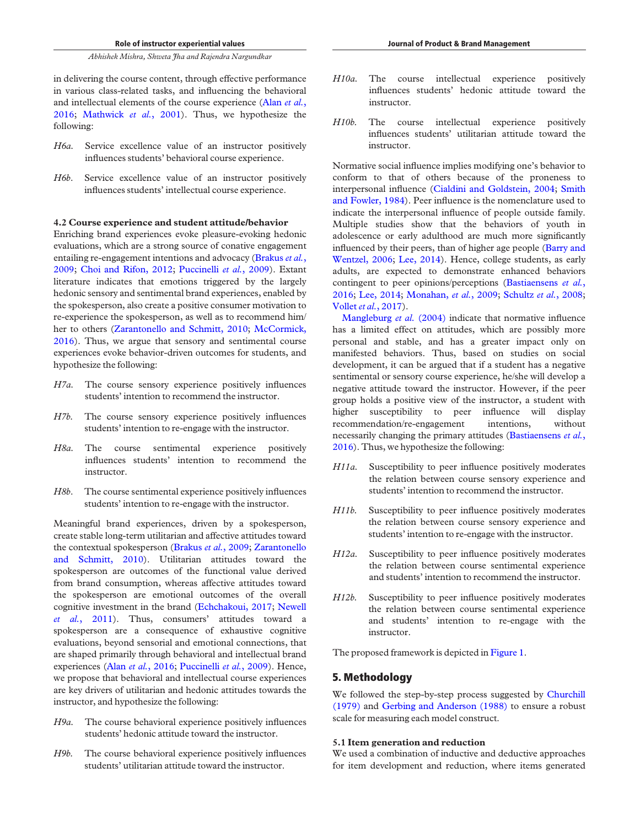in delivering the course content, through effective performance in various class-related tasks, and influencing the behavioral and intellectual elements of the course experience (Alan *et al.*, 2016; Mathwick *et al.*, 2001). Thus, we hypothesize the following:

- *H6a.* Service excellence value of an instructor positively influences students' behavioral course experience.
- *H6b*. Service excellence value of an instructor positively influences students' intellectual course experience.

#### 4.2 Course experience and student attitude/behavior

Enriching brand experiences evoke pleasure-evoking hedonic evaluations, which are a strong source of conative engagement entailing re-engagement intentions and advocacy (Brakus *et al.*, 2009; Choi and Rifon, 2012; Puccinelli *et al.*, 2009). Extant literature indicates that emotions triggered by the largely hedonic sensory and sentimental brand experiences, enabled by the spokesperson, also create a positive consumer motivation to re-experience the spokesperson, as well as to recommend him/ her to others (Zarantonello and Schmitt, 2010; McCormick, 2016). Thus, we argue that sensory and sentimental course experiences evoke behavior-driven outcomes for students, and hypothesize the following:

- *H7a.* The course sensory experience positively influences students' intention to recommend the instructor.
- *H7b.* The course sensory experience positively influences students' intention to re-engage with the instructor.
- *H8a.* The course sentimental experience positively influences students' intention to recommend the instructor.
- *H8b*. The course sentimental experience positively influences students' intention to re-engage with the instructor.

Meaningful brand experiences, driven by a spokesperson, create stable long-term utilitarian and affective attitudes toward the contextual spokesperson (Brakus *et al.*, 2009; Zarantonello and Schmitt, 2010). Utilitarian attitudes toward the spokesperson are outcomes of the functional value derived from brand consumption, whereas affective attitudes toward the spokesperson are emotional outcomes of the overall cognitive investment in the brand (Echchakoui, 2017; Newell *et al.*, 2011). Thus, consumers' attitudes toward a spokesperson are a consequence of exhaustive cognitive evaluations, beyond sensorial and emotional connections, that are shaped primarily through behavioral and intellectual brand experiences (Alan *et al.*, 2016; Puccinelli *et al.*, 2009). Hence, we propose that behavioral and intellectual course experiences are key drivers of utilitarian and hedonic attitudes towards the instructor, and hypothesize the following:

- *H9a.* The course behavioral experience positively influences students' hedonic attitude toward the instructor.
- *H9b.* The course behavioral experience positively influences students' utilitarian attitude toward the instructor.
- *H10a.* The course intellectual experience positively influences students' hedonic attitude toward the instructor.
- *H10b.* The course intellectual experience positively influences students' utilitarian attitude toward the instructor.

Normative social influence implies modifying one's behavior to conform to that of others because of the proneness to interpersonal influence (Cialdini and Goldstein, 2004; Smith and Fowler, 1984). Peer influence is the nomenclature used to indicate the interpersonal influence of people outside family. Multiple studies show that the behaviors of youth in adolescence or early adulthood are much more significantly influenced by their peers, than of higher age people (Barry and Wentzel, 2006; Lee, 2014). Hence, college students, as early adults, are expected to demonstrate enhanced behaviors contingent to peer opinions/perceptions (Bastiaensens *et al.*, 2016; Lee, 2014; Monahan, *et al.*, 2009; Schultz *et al.*, 2008; Vollet *et al.*, 2017).

Mangleburg *et al.* (2004) indicate that normative influence has a limited effect on attitudes, which are possibly more personal and stable, and has a greater impact only on manifested behaviors. Thus, based on studies on social development, it can be argued that if a student has a negative sentimental or sensory course experience, he/she will develop a negative attitude toward the instructor. However, if the peer group holds a positive view of the instructor, a student with higher susceptibility to peer influence will display recommendation/re-engagement intentions, without necessarily changing the primary attitudes (Bastiaensens *et al.*, 2016). Thus, we hypothesize the following:

- *H11a.* Susceptibility to peer influence positively moderates the relation between course sensory experience and students' intention to recommend the instructor.
- *H11b.* Susceptibility to peer influence positively moderates the relation between course sensory experience and students' intention to re-engage with the instructor.
- *H12a.* Susceptibility to peer influence positively moderates the relation between course sentimental experience and students' intention to recommend the instructor.
- *H12b.* Susceptibility to peer influence positively moderates the relation between course sentimental experience and students' intention to re-engage with the instructor.

The proposed framework is depicted in Figure 1.

# 5. Methodology

We followed the step-by-step process suggested by Churchill (1979) and Gerbing and Anderson (1988) to ensure a robust scale for measuring each model construct.

#### 5.1 Item generation and reduction

We used a combination of inductive and deductive approaches for item development and reduction, where items generated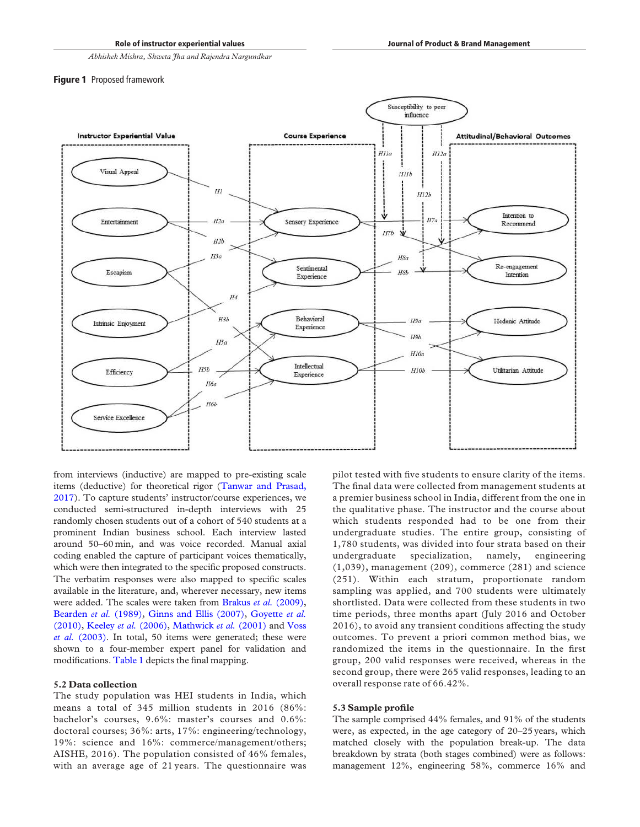### **Figure 1** Proposed framework



from interviews (inductive) are mapped to pre-existing scale items (deductive) for theoretical rigor (Tanwar and Prasad, 2017). To capture students' instructor/course experiences, we conducted semi-structured in-depth interviews with 25 randomly chosen students out of a cohort of 540 students at a prominent Indian business school. Each interview lasted around 50–60 min, and was voice recorded. Manual axial coding enabled the capture of participant voices thematically, which were then integrated to the specific proposed constructs. The verbatim responses were also mapped to specific scales available in the literature, and, wherever necessary, new items were added. The scales were taken from Brakus et al. (2009), Bearden *et al.* (1989), Ginns and Ellis (2007), Goyette *et al.* (2010), Keeley *et al.* (2006), Mathwick *et al.* (2001) and Voss *et al.* (2003). In total, 50 items were generated; these were shown to a four-member expert panel for validation and modifications. Table 1 depicts the final mapping.

#### 5.2 Data collection

The study population was HEI students in India, which means a total of 345 million students in 2016 (86%: bachelor's courses, 9.6%: master's courses and 0.6%: doctoral courses; 36%: arts, 17%: engineering/technology, 19%: science and 16%: commerce/management/others; AISHE, 2016). The population consisted of 46% females, with an average age of 21 years. The questionnaire was pilot tested with five students to ensure clarity of the items. The final data were collected from management students at a premier business school in India, different from the one in the qualitative phase. The instructor and the course about which students responded had to be one from their undergraduate studies. The entire group, consisting of 1,780 students, was divided into four strata based on their undergraduate specialization, namely, engineering (1,039), management (209), commerce (281) and science (251). Within each stratum, proportionate random sampling was applied, and 700 students were ultimately shortlisted. Data were collected from these students in two time periods, three months apart (July 2016 and October 2016), to avoid any transient conditions affecting the study outcomes. To prevent a priori common method bias, we randomized the items in the questionnaire. In the first group, 200 valid responses were received, whereas in the second group, there were 265 valid responses, leading to an overall response rate of 66.42%.

#### 5.3 Sample profile

The sample comprised 44% females, and 91% of the students were, as expected, in the age category of 20–25 years, which matched closely with the population break-up. The data breakdown by strata (both stages combined) were as follows: management 12%, engineering 58%, commerce 16% and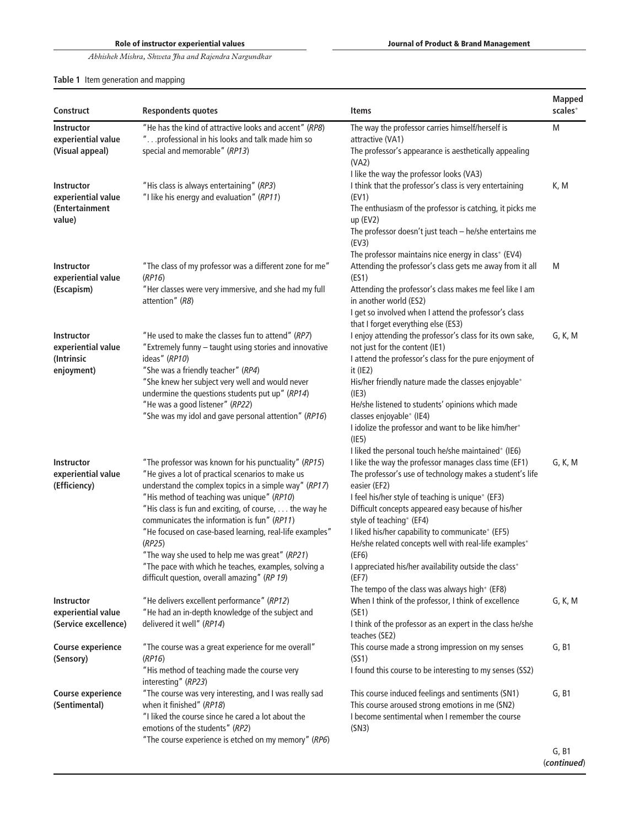# Table 1 Item generation and mapping

| <b>Construct</b>                                                    | <b>Respondents quotes</b>                                                                                                                                                                                                                                                                                                                                                                                                                                                                                                                               | Items                                                                                                                                                                                                                                                                                                                                                                                                                                                                                                                                                                     | <b>Mapped</b><br>scales* |
|---------------------------------------------------------------------|---------------------------------------------------------------------------------------------------------------------------------------------------------------------------------------------------------------------------------------------------------------------------------------------------------------------------------------------------------------------------------------------------------------------------------------------------------------------------------------------------------------------------------------------------------|---------------------------------------------------------------------------------------------------------------------------------------------------------------------------------------------------------------------------------------------------------------------------------------------------------------------------------------------------------------------------------------------------------------------------------------------------------------------------------------------------------------------------------------------------------------------------|--------------------------|
| <b>Instructor</b><br>experiential value<br>(Visual appeal)          | "He has the kind of attractive looks and accent" (RP8)<br>" professional in his looks and talk made him so<br>special and memorable" (RP13)                                                                                                                                                                                                                                                                                                                                                                                                             | The way the professor carries himself/herself is<br>attractive (VA1)<br>The professor's appearance is aesthetically appealing<br>(VA2)                                                                                                                                                                                                                                                                                                                                                                                                                                    | M                        |
| <b>Instructor</b><br>experiential value<br>(Entertainment<br>value) | "His class is always entertaining" (RP3)<br>"I like his energy and evaluation" (RP11)                                                                                                                                                                                                                                                                                                                                                                                                                                                                   | I like the way the professor looks (VA3)<br>I think that the professor's class is very entertaining<br>(EV1)<br>The enthusiasm of the professor is catching, it picks me<br>$up$ (EV2)<br>The professor doesn't just teach - he/she entertains me<br>(EV3)                                                                                                                                                                                                                                                                                                                | K, M                     |
| <b>Instructor</b><br>experiential value<br>(Escapism)               | "The class of my professor was a different zone for me"<br>(RP16)<br>"Her classes were very immersive, and she had my full<br>attention" (R8)                                                                                                                                                                                                                                                                                                                                                                                                           | The professor maintains nice energy in class* (EV4)<br>Attending the professor's class gets me away from it all<br>(ES1)<br>Attending the professor's class makes me feel like I am<br>in another world (ES2)<br>I get so involved when I attend the professor's class                                                                                                                                                                                                                                                                                                    | M                        |
| <b>Instructor</b><br>experiential value<br>(Intrinsic<br>enjoyment) | "He used to make the classes fun to attend" (RP7)<br>"Extremely funny - taught using stories and innovative<br>ideas" (RP10)<br>"She was a friendly teacher" (RP4)<br>"She knew her subject very well and would never<br>undermine the questions students put up" (RP14)<br>"He was a good listener" (RP22)<br>"She was my idol and gave personal attention" (RP16)                                                                                                                                                                                     | that I forget everything else (ES3)<br>I enjoy attending the professor's class for its own sake,<br>not just for the content (IE1)<br>I attend the professor's class for the pure enjoyment of<br>$it$ (IE2)<br>His/her friendly nature made the classes enjoyable*<br>(IE3)<br>He/she listened to students' opinions which made<br>classes enjoyable* (IE4)<br>I idolize the professor and want to be like him/her*<br>(IE5)                                                                                                                                             | G, K, M                  |
| <b>Instructor</b><br>experiential value<br>(Efficiency)             | "The professor was known for his punctuality" (RP15)<br>"He gives a lot of practical scenarios to make us<br>understand the complex topics in a simple way" (RP17)<br>"His method of teaching was unique" (RP10)<br>"His class is fun and exciting, of course, the way he<br>communicates the information is fun" (RP11)<br>"He focused on case-based learning, real-life examples"<br>(RP25)<br>"The way she used to help me was great" (RP21)<br>"The pace with which he teaches, examples, solving a<br>difficult question, overall amazing" (RP 19) | I liked the personal touch he/she maintained* (IE6)<br>I like the way the professor manages class time (EF1)<br>The professor's use of technology makes a student's life<br>easier (EF2)<br>I feel his/her style of teaching is unique* (EF3)<br>Difficult concepts appeared easy because of his/her<br>style of teaching* (EF4)<br>I liked his/her capability to communicate* (EF5)<br>He/she related concepts well with real-life examples*<br>(EF6)<br>I appreciated his/her availability outside the class*<br>(EF7)<br>The tempo of the class was always high* (EF8) | G, K, M                  |
| <b>Instructor</b><br>experiential value<br>(Service excellence)     | "He delivers excellent performance" (RP12)<br>"He had an in-depth knowledge of the subject and<br>delivered it well" (RP14)                                                                                                                                                                                                                                                                                                                                                                                                                             | When I think of the professor, I think of excellence<br>(SE1)<br>I think of the professor as an expert in the class he/she<br>teaches (SE2)                                                                                                                                                                                                                                                                                                                                                                                                                               | G, K, M                  |
| <b>Course experience</b><br>(Sensory)                               | "The course was a great experience for me overall"<br>(RP16)<br>"His method of teaching made the course very<br>interesting" (RP23)                                                                                                                                                                                                                                                                                                                                                                                                                     | This course made a strong impression on my senses<br>(SS1)<br>I found this course to be interesting to my senses (SS2)                                                                                                                                                                                                                                                                                                                                                                                                                                                    | G, B1                    |
| <b>Course experience</b><br>(Sentimental)                           | "The course was very interesting, and I was really sad<br>when it finished" (RP18)<br>"I liked the course since he cared a lot about the<br>emotions of the students" (RP2)<br>"The course experience is etched on my memory" (RP6)                                                                                                                                                                                                                                                                                                                     | This course induced feelings and sentiments (SN1)<br>This course aroused strong emotions in me (SN2)<br>I become sentimental when I remember the course<br>(SN3)                                                                                                                                                                                                                                                                                                                                                                                                          | G, B1                    |
|                                                                     |                                                                                                                                                                                                                                                                                                                                                                                                                                                                                                                                                         |                                                                                                                                                                                                                                                                                                                                                                                                                                                                                                                                                                           | G, B1                    |

(continued)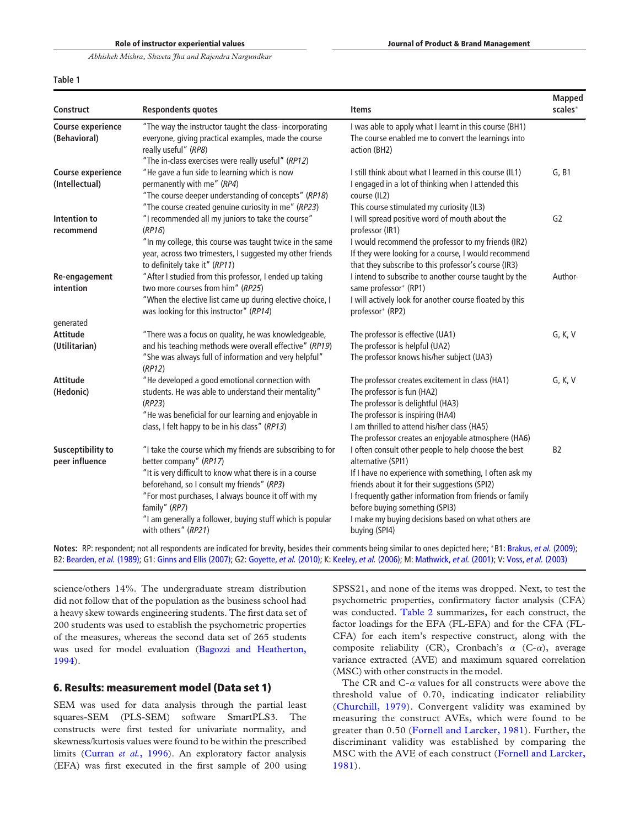## Table 1

| Construct                                  | <b>Respondents quotes</b>                                                                                                                                                                                                                                                                                                                                 | <b>Items</b>                                                                                                                                                                                                                                                                                                                                              | <b>Mapped</b><br>scales* |
|--------------------------------------------|-----------------------------------------------------------------------------------------------------------------------------------------------------------------------------------------------------------------------------------------------------------------------------------------------------------------------------------------------------------|-----------------------------------------------------------------------------------------------------------------------------------------------------------------------------------------------------------------------------------------------------------------------------------------------------------------------------------------------------------|--------------------------|
| <b>Course experience</b><br>(Behavioral)   | "The way the instructor taught the class- incorporating<br>everyone, giving practical examples, made the course<br>really useful" (RP8)<br>"The in-class exercises were really useful" (RP12)                                                                                                                                                             | I was able to apply what I learnt in this course (BH1)<br>The course enabled me to convert the learnings into<br>action (BH2)                                                                                                                                                                                                                             |                          |
| <b>Course experience</b><br>(Intellectual) | "He gave a fun side to learning which is now<br>permanently with me" (RP4)<br>"The course deeper understanding of concepts" (RP18)<br>"The course created genuine curiosity in me" (RP23)                                                                                                                                                                 | I still think about what I learned in this course (IL1)<br>I engaged in a lot of thinking when I attended this<br>course (IL2)<br>This course stimulated my curiosity (IL3)                                                                                                                                                                               | G, B1                    |
| Intention to<br>recommend                  | "I recommended all my juniors to take the course"<br>(RP16)<br>"In my college, this course was taught twice in the same<br>year, across two trimesters, I suggested my other friends<br>to definitely take it" (RP11)                                                                                                                                     | I will spread positive word of mouth about the<br>professor (IR1)<br>I would recommend the professor to my friends (IR2)<br>If they were looking for a course, I would recommend<br>that they subscribe to this professor's course (IR3)                                                                                                                  | G <sub>2</sub>           |
| Re-engagement<br>intention<br>generated    | "After I studied from this professor, I ended up taking<br>two more courses from him" (RP25)<br>"When the elective list came up during elective choice, I<br>was looking for this instructor" (RP14)                                                                                                                                                      | I intend to subscribe to another course taught by the<br>same professor* (RP1)<br>I will actively look for another course floated by this<br>professor* (RP2)                                                                                                                                                                                             | Author-                  |
| <b>Attitude</b><br>(Utilitarian)           | "There was a focus on quality, he was knowledgeable,<br>and his teaching methods were overall effective" (RP19)<br>"She was always full of information and very helpful"<br>(RP12)                                                                                                                                                                        | The professor is effective (UA1)<br>The professor is helpful (UA2)<br>The professor knows his/her subject (UA3)                                                                                                                                                                                                                                           | G, K, V                  |
| <b>Attitude</b><br>(Hedonic)               | "He developed a good emotional connection with<br>students. He was able to understand their mentality"<br>(RP23)<br>"He was beneficial for our learning and enjoyable in<br>class, I felt happy to be in his class" (RP13)                                                                                                                                | The professor creates excitement in class (HA1)<br>The professor is fun (HA2)<br>The professor is delightful (HA3)<br>The professor is inspiring (HA4)<br>I am thrilled to attend his/her class (HA5)<br>The professor creates an enjoyable atmosphere (HA6)                                                                                              | G, K, V                  |
| Susceptibility to<br>peer influence        | "I take the course which my friends are subscribing to for<br>better company" (RP17)<br>"It is very difficult to know what there is in a course<br>beforehand, so I consult my friends" (RP3)<br>"For most purchases, I always bounce it off with my<br>family" (RP7)<br>"I am generally a follower, buying stuff which is popular<br>with others" (RP21) | I often consult other people to help choose the best<br>alternative (SPI1)<br>If I have no experience with something, I often ask my<br>friends about it for their suggestions (SPI2)<br>I frequently gather information from friends or family<br>before buying something (SPI3)<br>I make my buying decisions based on what others are<br>buying (SPI4) | B <sub>2</sub>           |

Notes: RP: respondent; not all respondents are indicated for brevity, besides their comments being similar to ones depicted here; \*B1: Brakus, et al. (2009); B2: Bearden, et al. (1989); G1: Ginns and Ellis (2007); G2: Goyette, et al. (2010); K: Keeley, et al. (2006); M: Mathwick, et al. (2001); V: Voss, et al. (2003)

science/others 14%. The undergraduate stream distribution did not follow that of the population as the business school had a heavy skew towards engineering students. The first data set of 200 students was used to establish the psychometric properties of the measures, whereas the second data set of 265 students was used for model evaluation (Bagozzi and Heatherton, 1994).

# 6. Results: measurement model (Data set 1)

SEM was used for data analysis through the partial least squares-SEM (PLS-SEM) software SmartPLS3. The constructs were first tested for univariate normality, and skewness/kurtosis values were found to be within the prescribed limits (Curran *et al.*, 1996). An exploratory factor analysis (EFA) was first executed in the first sample of 200 using SPSS21, and none of the items was dropped. Next, to test the psychometric properties, confirmatory factor analysis (CFA) was conducted. Table 2 summarizes, for each construct, the factor loadings for the EFA (FL-EFA) and for the CFA (FL-CFA) for each item's respective construct, along with the composite reliability (CR), Cronbach's  $\alpha$  (C- $\alpha$ ), average variance extracted (AVE) and maximum squared correlation (MSC) with other constructs in the model.

The CR and  $C-\alpha$  values for all constructs were above the threshold value of 0.70, indicating indicator reliability (Churchill, 1979). Convergent validity was examined by measuring the construct AVEs, which were found to be greater than 0.50 (Fornell and Larcker, 1981). Further, the discriminant validity was established by comparing the MSC with the AVE of each construct (Fornell and Larcker, 1981).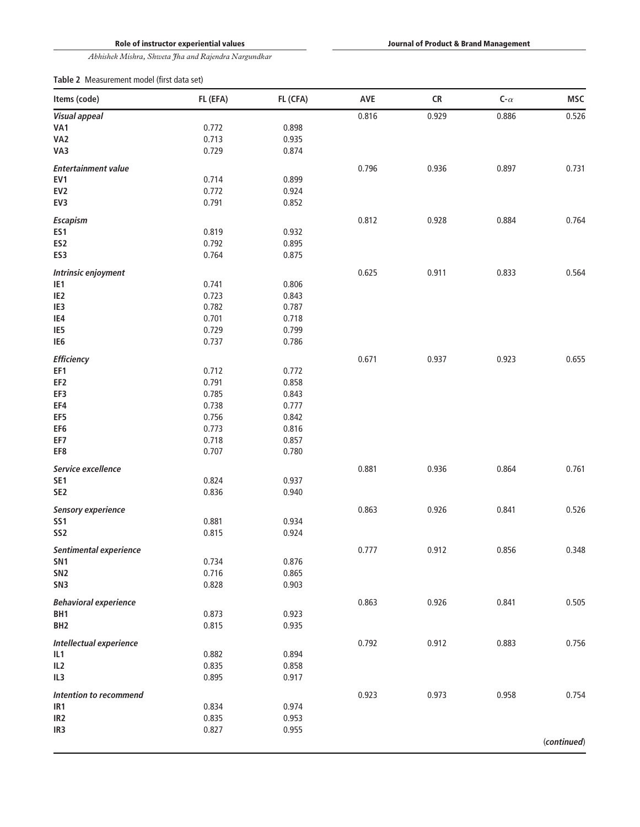Role of instructor experiential values

Journal of Product & Brand Management

*Abhishek Mishra, Shweta Jha and Rajendra Nargundkar*

Table 2 Measurement model (first data set)

| Items (code)                 | FL (EFA) | FL (CFA)       | AVE   | CR    | C- $\alpha$ | MSC         |
|------------------------------|----------|----------------|-------|-------|-------------|-------------|
| <b>Visual appeal</b>         |          |                | 0.816 | 0.929 | 0.886       | 0.526       |
| VA1                          | 0.772    | 0.898          |       |       |             |             |
| VA <sub>2</sub>              | 0.713    | 0.935          |       |       |             |             |
| VA3                          | 0.729    | 0.874          |       |       |             |             |
| <b>Entertainment value</b>   |          |                | 0.796 | 0.936 | 0.897       | 0.731       |
| EV1                          | 0.714    | 0.899          |       |       |             |             |
| EV <sub>2</sub>              | 0.772    | 0.924          |       |       |             |             |
| EV3                          | 0.791    | 0.852          |       |       |             |             |
| Escapism                     |          |                | 0.812 | 0.928 | 0.884       | 0.764       |
| ES1                          | 0.819    | 0.932          |       |       |             |             |
|                              | 0.792    |                |       |       |             |             |
| ES <sub>2</sub><br>ES3       | 0.764    | 0.895<br>0.875 |       |       |             |             |
|                              |          |                |       |       |             |             |
| Intrinsic enjoyment          |          |                | 0.625 | 0.911 | 0.833       | 0.564       |
| IE <sub>1</sub>              | 0.741    | 0.806          |       |       |             |             |
| IE <sub>2</sub>              | 0.723    | 0.843          |       |       |             |             |
| IE3                          | 0.782    | 0.787          |       |       |             |             |
| IE4                          | 0.701    | 0.718          |       |       |             |             |
| IE5                          | 0.729    | 0.799          |       |       |             |             |
| IE <sub>6</sub>              | 0.737    | 0.786          |       |       |             |             |
| <b>Efficiency</b>            |          |                | 0.671 | 0.937 | 0.923       | 0.655       |
| EF1                          | 0.712    | 0.772          |       |       |             |             |
| EF <sub>2</sub>              | 0.791    | 0.858          |       |       |             |             |
| EF3                          | 0.785    | 0.843          |       |       |             |             |
| EF4                          | 0.738    | 0.777          |       |       |             |             |
| EF5                          | 0.756    | 0.842          |       |       |             |             |
| EF <sub>6</sub>              | 0.773    | 0.816          |       |       |             |             |
| EF7                          | 0.718    | 0.857          |       |       |             |             |
| EF8                          | 0.707    | 0.780          |       |       |             |             |
| Service excellence           |          |                | 0.881 | 0.936 | 0.864       | 0.761       |
| SE <sub>1</sub>              | 0.824    | 0.937          |       |       |             |             |
| SE <sub>2</sub>              | 0.836    | 0.940          |       |       |             |             |
| <b>Sensory experience</b>    |          |                | 0.863 | 0.926 | 0.841       | 0.526       |
| SS <sub>1</sub>              | 0.881    | 0.934          |       |       |             |             |
| SS <sub>2</sub>              | 0.815    | 0.924          |       |       |             |             |
| Sentimental experience       |          |                | 0.777 | 0.912 | 0.856       | 0.348       |
| SN <sub>1</sub>              | 0.734    | 0.876          |       |       |             |             |
| SN <sub>2</sub>              | 0.716    | 0.865          |       |       |             |             |
| SN <sub>3</sub>              | 0.828    | 0.903          |       |       |             |             |
| <b>Behavioral experience</b> |          |                | 0.863 | 0.926 | 0.841       | 0.505       |
| BH1                          | 0.873    | 0.923          |       |       |             |             |
| BH <sub>2</sub>              | 0.815    | 0.935          |       |       |             |             |
|                              |          |                |       |       |             |             |
| Intellectual experience      |          |                | 0.792 | 0.912 | 0.883       | 0.756       |
| IL1                          | 0.882    | 0.894          |       |       |             |             |
| IL <sub>2</sub>              | 0.835    | 0.858          |       |       |             |             |
| IL3                          | 0.895    | 0.917          |       |       |             |             |
| Intention to recommend       |          |                | 0.923 | 0.973 | 0.958       | 0.754       |
| IR <sub>1</sub>              | 0.834    | 0.974          |       |       |             |             |
| IR <sub>2</sub>              | 0.835    | 0.953          |       |       |             |             |
| IR <sub>3</sub>              | 0.827    | 0.955          |       |       |             |             |
|                              |          |                |       |       |             | (continued) |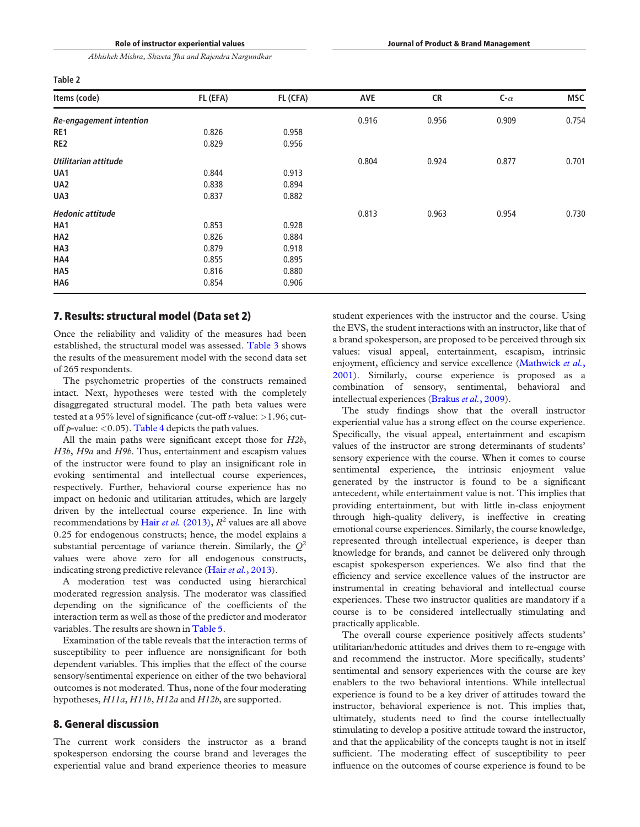|  | $\sim$<br>$\sim$ |  |
|--|------------------|--|
|--|------------------|--|

| Items (code)                   | FL (EFA) | FL (CFA) | AVE   | <b>CR</b> | C- $\alpha$ | <b>MSC</b> |
|--------------------------------|----------|----------|-------|-----------|-------------|------------|
| <b>Re-engagement intention</b> |          |          | 0.916 | 0.956     | 0.909       | 0.754      |
| RE1                            | 0.826    | 0.958    |       |           |             |            |
| RE <sub>2</sub>                | 0.829    | 0.956    |       |           |             |            |
| Utilitarian attitude           |          |          | 0.804 | 0.924     | 0.877       | 0.701      |
| UA1                            | 0.844    | 0.913    |       |           |             |            |
| UA <sub>2</sub>                | 0.838    | 0.894    |       |           |             |            |
| UA3                            | 0.837    | 0.882    |       |           |             |            |
| <b>Hedonic attitude</b>        |          |          | 0.813 | 0.963     | 0.954       | 0.730      |
| HA1                            | 0.853    | 0.928    |       |           |             |            |
| HA <sub>2</sub>                | 0.826    | 0.884    |       |           |             |            |
| HA3                            | 0.879    | 0.918    |       |           |             |            |
| HA4                            | 0.855    | 0.895    |       |           |             |            |
| HA5                            | 0.816    | 0.880    |       |           |             |            |
| HA6                            | 0.854    | 0.906    |       |           |             |            |

## 7. Results: structural model (Data set 2)

Once the reliability and validity of the measures had been established, the structural model was assessed. Table 3 shows the results of the measurement model with the second data set of 265 respondents.

The psychometric properties of the constructs remained intact. Next, hypotheses were tested with the completely disaggregated structural model. The path beta values were tested at a 95% level of significance (cut-off *t*-value: >1.96; cutoff *p*-value: <0.05). Table 4 depicts the path values.

All the main paths were significant except those for *H2b*, *H3b*, *H9a* and *H9b*. Thus, entertainment and escapism values of the instructor were found to play an insignificant role in evoking sentimental and intellectual course experiences, respectively. Further, behavioral course experience has no impact on hedonic and utilitarian attitudes, which are largely driven by the intellectual course experience. In line with recommendations by Hair *et al.* (2013), *R* 2 values are all above 0.25 for endogenous constructs; hence, the model explains a substantial percentage of variance therein. Similarly, the *Q* 2 values were above zero for all endogenous constructs, indicating strong predictive relevance (Hair*et al.*, 2013).

A moderation test was conducted using hierarchical moderated regression analysis. The moderator was classified depending on the significance of the coefficients of the interaction term as well as those of the predictor and moderator variables. The results are shown in Table 5.

Examination of the table reveals that the interaction terms of susceptibility to peer influence are nonsignificant for both dependent variables. This implies that the effect of the course sensory/sentimental experience on either of the two behavioral outcomes is not moderated. Thus, none of the four moderating hypotheses, *H11a*, *H11b*, *H12a* and *H12b*, are supported.

# 8. General discussion

The current work considers the instructor as a brand spokesperson endorsing the course brand and leverages the experiential value and brand experience theories to measure

student experiences with the instructor and the course. Using the EVS, the student interactions with an instructor, like that of a brand spokesperson, are proposed to be perceived through six values: visual appeal, entertainment, escapism, intrinsic enjoyment, efficiency and service excellence (Mathwick *et al.*, 2001). Similarly, course experience is proposed as a combination of sensory, sentimental, behavioral and intellectual experiences (Brakus*et al.*, 2009).

The study findings show that the overall instructor experiential value has a strong effect on the course experience. Specifically, the visual appeal, entertainment and escapism values of the instructor are strong determinants of students' sensory experience with the course. When it comes to course sentimental experience, the intrinsic enjoyment value generated by the instructor is found to be a significant antecedent, while entertainment value is not. This implies that providing entertainment, but with little in-class enjoyment through high-quality delivery, is ineffective in creating emotional course experiences. Similarly, the course knowledge, represented through intellectual experience, is deeper than knowledge for brands, and cannot be delivered only through escapist spokesperson experiences. We also find that the efficiency and service excellence values of the instructor are instrumental in creating behavioral and intellectual course experiences. These two instructor qualities are mandatory if a course is to be considered intellectually stimulating and practically applicable.

The overall course experience positively affects students' utilitarian/hedonic attitudes and drives them to re-engage with and recommend the instructor. More specifically, students' sentimental and sensory experiences with the course are key enablers to the two behavioral intentions. While intellectual experience is found to be a key driver of attitudes toward the instructor, behavioral experience is not. This implies that, ultimately, students need to find the course intellectually stimulating to develop a positive attitude toward the instructor, and that the applicability of the concepts taught is not in itself sufficient. The moderating effect of susceptibility to peer influence on the outcomes of course experience is found to be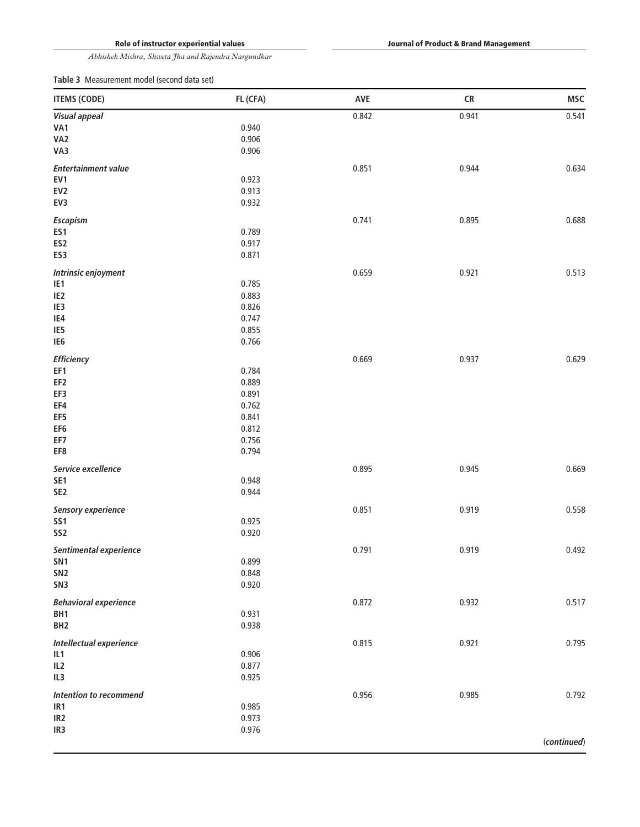Journal of Product & Brand Management

*Abhishek Mishra, Shweta Jha and Rajendra Nargundkar*

Table 3 Measurement model (second data set)

| <b>ITEMS (CODE)</b>          | FL (CFA) | AVE   | <b>CR</b> | <b>MSC</b>  |
|------------------------------|----------|-------|-----------|-------------|
| <b>Visual appeal</b>         |          | 0.842 | 0.941     | 0.541       |
| VA1                          | 0.940    |       |           |             |
| VA <sub>2</sub>              | 0.906    |       |           |             |
| VA3                          | 0.906    |       |           |             |
| <b>Entertainment value</b>   |          | 0.851 | 0.944     | 0.634       |
| EV1                          | 0.923    |       |           |             |
| EV <sub>2</sub>              | 0.913    |       |           |             |
| EV3                          | 0.932    |       |           |             |
| Escapism                     |          | 0.741 | 0.895     | 0.688       |
| ES1                          | 0.789    |       |           |             |
| ES <sub>2</sub>              | 0.917    |       |           |             |
| ES3                          | 0.871    |       |           |             |
| Intrinsic enjoyment          |          | 0.659 | 0.921     | 0.513       |
| IE1                          | 0.785    |       |           |             |
| IE <sub>2</sub>              | 0.883    |       |           |             |
| IE3                          | 0.826    |       |           |             |
| IE4                          | 0.747    |       |           |             |
| IE5                          | 0.855    |       |           |             |
| IE <sub>6</sub>              | 0.766    |       |           |             |
| <b>Efficiency</b>            |          | 0.669 | 0.937     | 0.629       |
| EF1                          | 0.784    |       |           |             |
| EF <sub>2</sub>              | 0.889    |       |           |             |
| EF3                          | 0.891    |       |           |             |
| EF4                          | 0.762    |       |           |             |
| EF5                          | 0.841    |       |           |             |
| EF <sub>6</sub>              | 0.812    |       |           |             |
| EF7                          | 0.756    |       |           |             |
| EF8                          | 0.794    |       |           |             |
| Service excellence           |          | 0.895 | 0.945     | 0.669       |
| SE <sub>1</sub>              | 0.948    |       |           |             |
| SE <sub>2</sub>              | 0.944    |       |           |             |
| <b>Sensory experience</b>    |          | 0.851 | 0.919     | 0.558       |
| <b>SS1</b>                   | 0.925    |       |           |             |
| SS <sub>2</sub>              | 0.920    |       |           |             |
| Sentimental experience       |          | 0.791 | 0.919     | 0.492       |
| SN <sub>1</sub>              | 0.899    |       |           |             |
| SN <sub>2</sub>              | 0.848    |       |           |             |
| SN <sub>3</sub>              | 0.920    |       |           |             |
| <b>Behavioral experience</b> |          | 0.872 | 0.932     | 0.517       |
| BH <sub>1</sub>              | 0.931    |       |           |             |
| BH <sub>2</sub>              | 0.938    |       |           |             |
| Intellectual experience      |          | 0.815 | 0.921     | 0.795       |
| IL1                          | 0.906    |       |           |             |
| IL <sub>2</sub>              | 0.877    |       |           |             |
| IL3                          | 0.925    |       |           |             |
| Intention to recommend       |          | 0.956 | 0.985     | 0.792       |
| IR1                          | 0.985    |       |           |             |
| IR <sub>2</sub>              | 0.973    |       |           |             |
| IR <sub>3</sub>              | 0.976    |       |           |             |
|                              |          |       |           | (continued) |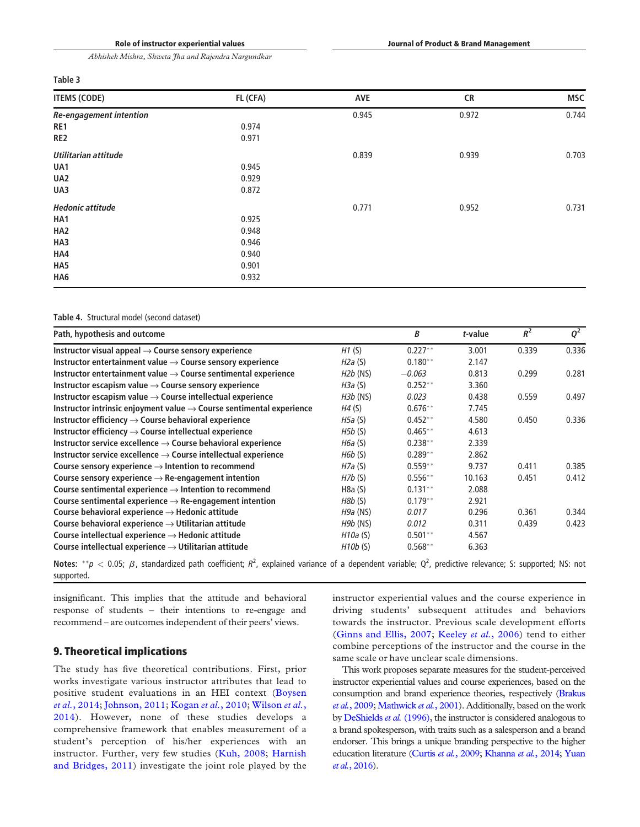## Table 3

| <b>ITEMS (CODE)</b>            | FL (CFA) | AVE   | <b>CR</b> | <b>MSC</b> |
|--------------------------------|----------|-------|-----------|------------|
| <b>Re-engagement intention</b> |          | 0.945 | 0.972     | 0.744      |
| RE1                            | 0.974    |       |           |            |
| RE <sub>2</sub>                | 0.971    |       |           |            |
| Utilitarian attitude           |          | 0.839 | 0.939     | 0.703      |
| UA1                            | 0.945    |       |           |            |
| UA2                            | 0.929    |       |           |            |
| UA3                            | 0.872    |       |           |            |
| <b>Hedonic attitude</b>        |          | 0.771 | 0.952     | 0.731      |
| HA1                            | 0.925    |       |           |            |
| HA <sub>2</sub>                | 0.948    |       |           |            |
| HA3                            | 0.946    |       |           |            |
| HA4                            | 0.940    |       |           |            |
| HA5                            | 0.901    |       |           |            |
| HA6                            | 0.932    |       |           |            |

## Table 4. Structural model (second dataset)

| Path, hypothesis and outcome                                                     |                 | B          | t-value | $R^2$ | $Q^2$ |
|----------------------------------------------------------------------------------|-----------------|------------|---------|-------|-------|
| Instructor visual appeal $\rightarrow$ Course sensory experience                 | H1(S)           | $0.227**$  | 3.001   | 0.339 | 0.336 |
| Instructor entertainment value $\rightarrow$ Course sensory experience           | H2a (S)         | $0.180**$  | 2.147   |       |       |
| Instructor entertainment value $\rightarrow$ Course sentimental experience       | $H2b$ (NS)      | $-0.063$   | 0.813   | 0.299 | 0.281 |
| Instructor escapism value $\rightarrow$ Course sensory experience                | H3a (S)         | $0.252**$  | 3.360   |       |       |
| Instructor escapism value $\rightarrow$ Course intellectual experience           | <i>H3b</i> (NS) | 0.023      | 0.438   | 0.559 | 0.497 |
| Instructor intrinsic enjoyment value $\rightarrow$ Course sentimental experience | H4(S)           | $0.676**$  | 7.745   |       |       |
| Instructor efficiency $\rightarrow$ Course behavioral experience                 | H5a (S)         | $0.452**$  | 4.580   | 0.450 | 0.336 |
| Instructor efficiency $\rightarrow$ Course intellectual experience               | H5b(S)          | $0.465**$  | 4.613   |       |       |
| Instructor service excellence $\rightarrow$ Course behavioral experience         | H6a (S)         | $0.238**$  | 2.339   |       |       |
| Instructor service excellence $\rightarrow$ Course intellectual experience       | H6b(S)          | $0.289**$  | 2.862   |       |       |
| Course sensory experience $\rightarrow$ Intention to recommend                   | H7a (S)         | $0.559**$  | 9.737   | 0.411 | 0.385 |
| Course sensory experience $\rightarrow$ Re-engagement intention                  | HZb(S)          | $0.556**$  | 10.163  | 0.451 | 0.412 |
| Course sentimental experience $\rightarrow$ Intention to recommend               | H8a(S)          | $0.131***$ | 2.088   |       |       |
| Course sentimental experience $\rightarrow$ Re-engagement intention              | H8b(S)          | $0.179**$  | 2.921   |       |       |
| Course behavioral experience $\rightarrow$ Hedonic attitude                      | <i>H9a</i> (NS) | 0.017      | 0.296   | 0.361 | 0.344 |
| Course behavioral experience $\rightarrow$ Utilitarian attitude                  | <i>H9b</i> (NS) | 0.012      | 0.311   | 0.439 | 0.423 |
| Course intellectual experience $\rightarrow$ Hedonic attitude                    | H10a(S)         | $0.501**$  | 4.567   |       |       |
| Course intellectual experience $\rightarrow$ Utilitarian attitude                | H10b(S)         | $0.568**$  | 6.363   |       |       |

Notes:  $^{**}p < 0.05$ ;  $\beta$ , standardized path coefficient;  $R^2$ , explained variance of a dependent variable;  $Q^2$ , predictive relevance; S: supported; NS: not supported.

insignificant. This implies that the attitude and behavioral response of students – their intentions to re-engage and recommend – are outcomes independent of their peers' views.

# 9. Theoretical implications

The study has five theoretical contributions. First, prior works investigate various instructor attributes that lead to positive student evaluations in an HEI context (Boysen *et al.*, 2014; Johnson, 2011; Kogan *et al.*, 2010; Wilson *et al.*, 2014). However, none of these studies develops a comprehensive framework that enables measurement of a student's perception of his/her experiences with an instructor. Further, very few studies (Kuh, 2008; Harnish and Bridges, 2011) investigate the joint role played by the

instructor experiential values and the course experience in driving students' subsequent attitudes and behaviors towards the instructor. Previous scale development efforts (Ginns and Ellis, 2007; Keeley *et al.*, 2006) tend to either combine perceptions of the instructor and the course in the same scale or have unclear scale dimensions.

This work proposes separate measures for the student-perceived instructor experiential values and course experiences, based on the consumption and brand experience theories, respectively (Brakus *et al.*, 2009; Mathwick *et al.*, 2001). Additionally, based on the work by DeShields*et al.* (1996), the instructor is considered analogous to a brand spokesperson, with traits such as a salesperson and a brand endorser. This brings a unique branding perspective to the higher education literature (Curtis *et al.*, 2009; Khanna *et al.*, 2014; Yuan *et al.*, 2016).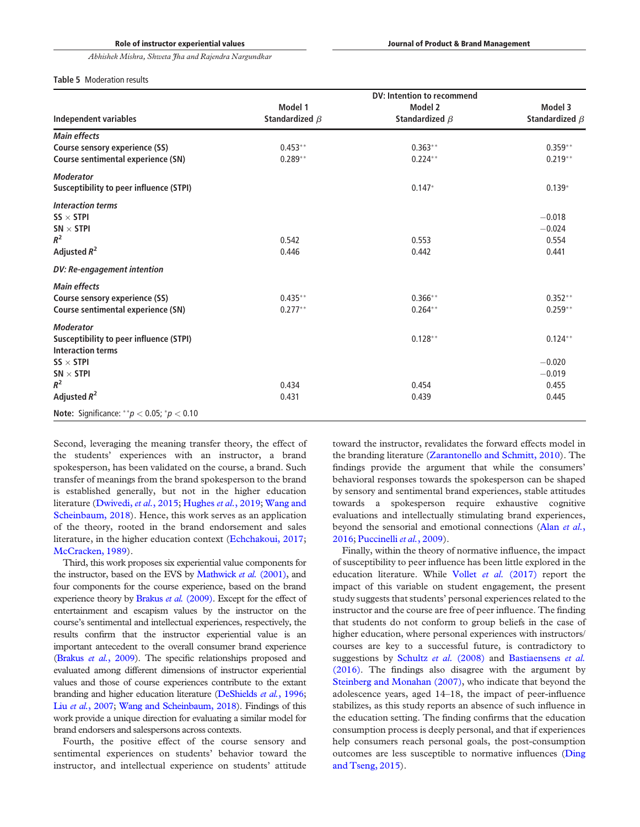|                                                         |                      | <b>DV: Intention to recommend</b> |                      |
|---------------------------------------------------------|----------------------|-----------------------------------|----------------------|
|                                                         | Model 1              | Model 2                           | Model 3              |
| Independent variables                                   | Standardized $\beta$ | Standardized $\beta$              | Standardized $\beta$ |
| <b>Main effects</b>                                     |                      |                                   |                      |
| Course sensory experience (SS)                          | $0.453**$            | $0.363**$                         | $0.359**$            |
| <b>Course sentimental experience (SN)</b>               | $0.289**$            | $0.224***$                        | $0.219**$            |
| <b>Moderator</b>                                        |                      |                                   |                      |
| <b>Susceptibility to peer influence (STPI)</b>          |                      | $0.147*$                          | $0.139*$             |
| <b>Interaction terms</b>                                |                      |                                   |                      |
| $SS \times STPI$                                        |                      |                                   | $-0.018$             |
| $SN \times STPI$                                        |                      |                                   | $-0.024$             |
| $R^2$                                                   | 0.542                | 0.553                             | 0.554                |
| Adjusted $R^2$                                          | 0.446                | 0.442                             | 0.441                |
| DV: Re-engagement intention                             |                      |                                   |                      |
| <b>Main effects</b>                                     |                      |                                   |                      |
| Course sensory experience (SS)                          | $0.435***$           | $0.366**$                         | $0.352**$            |
| Course sentimental experience (SN)                      | $0.277**$            | $0.264***$                        | $0.259***$           |
| <b>Moderator</b>                                        |                      |                                   |                      |
| <b>Susceptibility to peer influence (STPI)</b>          |                      | $0.128**$                         | $0.124***$           |
| <b>Interaction terms</b>                                |                      |                                   |                      |
| $SS \times STPI$                                        |                      |                                   | $-0.020$             |
| $SN \times STPI$                                        |                      |                                   | $-0.019$             |
| $R^2$                                                   | 0.434                | 0.454                             | 0.455                |
| Adjusted $R^2$                                          | 0.431                | 0.439                             | 0.445                |
| <b>Note:</b> Significance: ** $p < 0.05$ ; * $p < 0.10$ |                      |                                   |                      |

Second, leveraging the meaning transfer theory, the effect of the students' experiences with an instructor, a brand spokesperson, has been validated on the course, a brand. Such transfer of meanings from the brand spokesperson to the brand is established generally, but not in the higher education literature (Dwivedi, *et al.*, 2015; Hughes *et al.*, 2019; Wang and Scheinbaum, 2018). Hence, this work serves as an application of the theory, rooted in the brand endorsement and sales literature, in the higher education context (Echchakoui, 2017; McCracken, 1989).

Third, this work proposes six experiential value components for the instructor, based on the EVS by Mathwick *et al.* (2001), and four components for the course experience, based on the brand experience theory by Brakus *et al.* (2009). Except for the effect of entertainment and escapism values by the instructor on the course's sentimental and intellectual experiences, respectively, the results confirm that the instructor experiential value is an important antecedent to the overall consumer brand experience (Brakus *et al.*, 2009). The specific relationships proposed and evaluated among different dimensions of instructor experiential values and those of course experiences contribute to the extant branding and higher education literature (DeShields *et al.*, 1996; Liu *et al.*, 2007; Wang and Scheinbaum, 2018). Findings of this work provide a unique direction for evaluating a similar model for brand endorsers and salespersons across contexts.

Fourth, the positive effect of the course sensory and sentimental experiences on students' behavior toward the instructor, and intellectual experience on students' attitude

toward the instructor, revalidates the forward effects model in the branding literature (Zarantonello and Schmitt, 2010). The findings provide the argument that while the consumers' behavioral responses towards the spokesperson can be shaped by sensory and sentimental brand experiences, stable attitudes towards a spokesperson require exhaustive cognitive evaluations and intellectually stimulating brand experiences, beyond the sensorial and emotional connections (Alan *et al.*, 2016; Puccinelli *et al.*, 2009).

Finally, within the theory of normative influence, the impact of susceptibility to peer influence has been little explored in the education literature. While Vollet *et al.* (2017) report the impact of this variable on student engagement, the present study suggests that students' personal experiences related to the instructor and the course are free of peer influence. The finding that students do not conform to group beliefs in the case of higher education, where personal experiences with instructors/ courses are key to a successful future, is contradictory to suggestions by Schultz *et al.* (2008) and Bastiaensens *et al.* (2016). The findings also disagree with the argument by Steinberg and Monahan (2007), who indicate that beyond the adolescence years, aged 14–18, the impact of peer-influence stabilizes, as this study reports an absence of such influence in the education setting. The finding confirms that the education consumption process is deeply personal, and that if experiences help consumers reach personal goals, the post-consumption outcomes are less susceptible to normative influences (Ding and Tseng, 2015).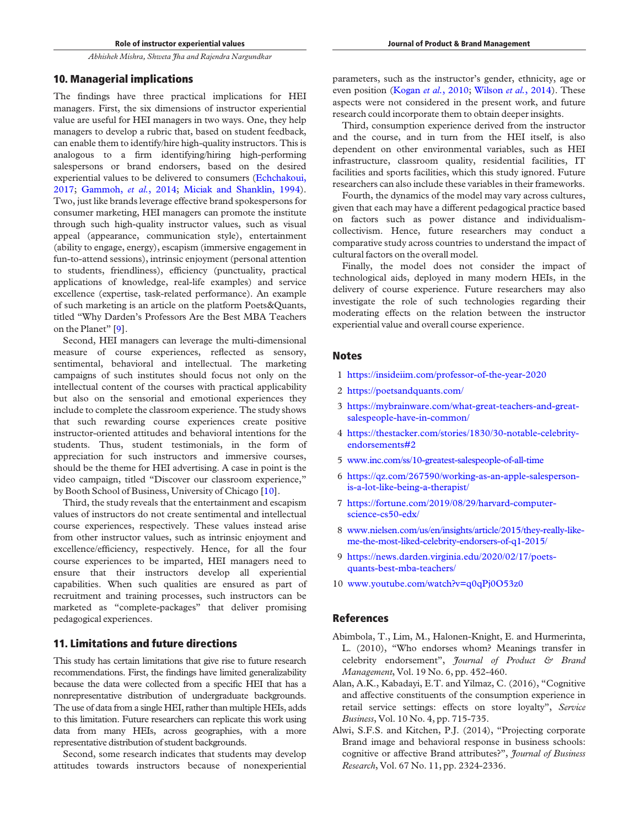# 10. Managerial implications

The findings have three practical implications for HEI managers. First, the six dimensions of instructor experiential value are useful for HEI managers in two ways. One, they help managers to develop a rubric that, based on student feedback, can enable them to identify/hire high-quality instructors. This is analogous to a firm identifying/hiring high-performing salespersons or brand endorsers, based on the desired experiential values to be delivered to consumers (Echchakoui, 2017; Gammoh, *et al.*, 2014; Miciak and Shanklin, 1994). Two, just like brands leverage effective brand spokespersons for consumer marketing, HEI managers can promote the institute through such high-quality instructor values, such as visual appeal (appearance, communication style), entertainment (ability to engage, energy), escapism (immersive engagement in fun-to-attend sessions), intrinsic enjoyment (personal attention to students, friendliness), efficiency (punctuality, practical applications of knowledge, real-life examples) and service excellence (expertise, task-related performance). An example of such marketing is an article on the platform Poets&Quants, titled "Why Darden's Professors Are the Best MBA Teachers on the Planet" [9].

Second, HEI managers can leverage the multi-dimensional measure of course experiences, reflected as sensory, sentimental, behavioral and intellectual. The marketing campaigns of such institutes should focus not only on the intellectual content of the courses with practical applicability but also on the sensorial and emotional experiences they include to complete the classroom experience. The study shows that such rewarding course experiences create positive instructor-oriented attitudes and behavioral intentions for the students. Thus, student testimonials, in the form of appreciation for such instructors and immersive courses, should be the theme for HEI advertising. A case in point is the video campaign, titled "Discover our classroom experience," by Booth School of Business, University of Chicago [10].

Third, the study reveals that the entertainment and escapism values of instructors do not create sentimental and intellectual course experiences, respectively. These values instead arise from other instructor values, such as intrinsic enjoyment and excellence/efficiency, respectively. Hence, for all the four course experiences to be imparted, HEI managers need to ensure that their instructors develop all experiential capabilities. When such qualities are ensured as part of recruitment and training processes, such instructors can be marketed as "complete-packages" that deliver promising pedagogical experiences.

# 11. Limitations and future directions

This study has certain limitations that give rise to future research recommendations. First, the findings have limited generalizability because the data were collected from a specific HEI that has a nonrepresentative distribution of undergraduate backgrounds. The use of data from a single HEI, rather than multiple HEIs, adds to this limitation. Future researchers can replicate this work using data from many HEIs, across geographies, with a more representative distribution of student backgrounds.

Second, some research indicates that students may develop attitudes towards instructors because of nonexperiential

parameters, such as the instructor's gender, ethnicity, age or even position (Kogan *et al.*, 2010; Wilson *et al.*, 2014). These aspects were not considered in the present work, and future research could incorporate them to obtain deeper insights.

Third, consumption experience derived from the instructor and the course, and in turn from the HEI itself, is also dependent on other environmental variables, such as HEI infrastructure, classroom quality, residential facilities, IT facilities and sports facilities, which this study ignored. Future researchers can also include these variables in their frameworks.

Fourth, the dynamics of the model may vary across cultures, given that each may have a different pedagogical practice based on factors such as power distance and individualismcollectivism. Hence, future researchers may conduct a comparative study across countries to understand the impact of cultural factors on the overall model.

Finally, the model does not consider the impact of technological aids, deployed in many modern HEIs, in the delivery of course experience. Future researchers may also investigate the role of such technologies regarding their moderating effects on the relation between the instructor experiential value and overall course experience.

# **Notes**

- 1 https://insideiim.com/professor-of-the-year-2020
- 2 https://poetsandquants.com/
- 3 https://mybrainware.com/what-great-teachers-and-greatsalespeople-have-in-common/
- 4 https://thestacker.com/stories/1830/30-notable-celebrityendorsements#2
- 5 www.inc.com/ss/10-greatest-salespeople-of-all-time
- 6 https://qz.com/267590/working-as-an-apple-salespersonis-a-lot-like-being-a-therapist/
- 7 https://fortune.com/2019/08/29/harvard-computerscience-cs50-edx/
- 8 www.nielsen.com/us/en/insights/article/2015/they-really-likeme-the-most-liked-celebrity-endorsers-of-q1-2015/
- 9 https://news.darden.virginia.edu/2020/02/17/poetsquants-best-mba-teachers/
- 10 www.youtube.com/watch?v=q0qPj0O53z0

# References

- Abimbola, T., Lim, M., Halonen-Knight, E. and Hurmerinta, L. (2010), "Who endorses whom? Meanings transfer in celebrity endorsement", *Journal of Product & Brand Management*, Vol. 19 No. 6, pp. 452-460.
- Alan, A.K., Kabadayi, E.T. and Yilmaz, C. (2016), "Cognitive and affective constituents of the consumption experience in retail service settings: effects on store loyalty", *Service Business*, Vol. 10 No. 4, pp. 715-735.
- Alwi, S.F.S. and Kitchen, P.J. (2014), "Projecting corporate Brand image and behavioral response in business schools: cognitive or affective Brand attributes?", *Journal of Business Research*, Vol. 67 No. 11, pp. 2324-2336.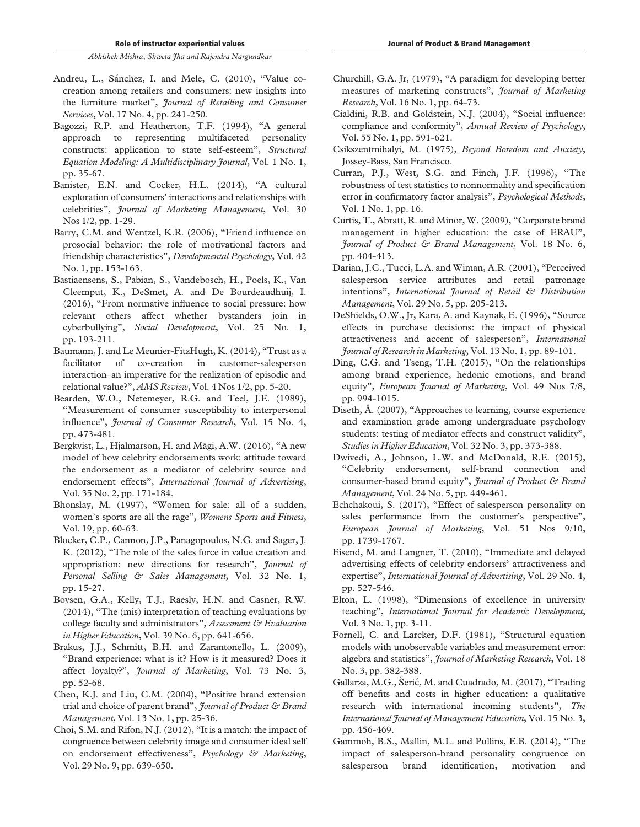- Andreu, L., Sánchez, I. and Mele, C. (2010), "Value cocreation among retailers and consumers: new insights into the furniture market", *Journal of Retailing and Consumer Services*, Vol. 17 No. 4, pp. 241-250.
- Bagozzi, R.P. and Heatherton, T.F. (1994), "A general approach to representing multifaceted personality constructs: application to state self-esteem", *Structural Equation Modeling: A Multidisciplinary Journal*, Vol. 1 No. 1, pp. 35-67.
- Banister, E.N. and Cocker, H.L. (2014), "A cultural exploration of consumers' interactions and relationships with celebrities", *Journal of Marketing Management*, Vol. 30 Nos 1/2, pp. 1-29.
- Barry, C.M. and Wentzel, K.R. (2006), "Friend influence on prosocial behavior: the role of motivational factors and friendship characteristics", *Developmental Psychology*, Vol. 42 No. 1, pp. 153-163.
- Bastiaensens, S., Pabian, S., Vandebosch, H., Poels, K., Van Cleemput, K., DeSmet, A. and De Bourdeaudhuij, I. (2016), "From normative influence to social pressure: how relevant others affect whether bystanders join in cyberbullying", *Social Development*, Vol. 25 No. 1, pp. 193-211.
- Baumann, J. and Le Meunier-FitzHugh, K. (2014), "Trust as a facilitator of co-creation in customer-salesperson interaction–an imperative for the realization of episodic and relational value?", *AMS Review*, Vol. 4 Nos 1/2, pp. 5-20.
- Bearden, W.O., Netemeyer, R.G. and Teel, J.E. (1989), "Measurement of consumer susceptibility to interpersonal influence", *Journal of Consumer Research*, Vol. 15 No. 4, pp. 473-481.
- Bergkvist, L., Hjalmarson, H. and Mägi, A.W. (2016), "A new model of how celebrity endorsements work: attitude toward the endorsement as a mediator of celebrity source and endorsement effects", *International Journal of Advertising*, Vol. 35 No. 2, pp. 171-184.
- Bhonslay, M. (1997), "Women for sale: all of a sudden, women's sports are all the rage", *Womens Sports and Fitness*, Vol. 19, pp. 60-63.
- Blocker, C.P., Cannon, J.P., Panagopoulos, N.G. and Sager, J. K. (2012), "The role of the sales force in value creation and appropriation: new directions for research", *Journal of Personal Selling & Sales Management*, Vol. 32 No. 1, pp. 15-27.
- Boysen, G.A., Kelly, T.J., Raesly, H.N. and Casner, R.W. (2014), "The (mis) interpretation of teaching evaluations by college faculty and administrators", *Assessment & Evaluation in Higher Education*, Vol. 39 No. 6, pp. 641-656.
- Brakus, I.I., Schmitt, B.H. and Zarantonello, L. (2009), "Brand experience: what is it? How is it measured? Does it affect loyalty?", *Journal of Marketing*, Vol. 73 No. 3, pp. 52-68.
- Chen, K.J. and Liu, C.M. (2004), "Positive brand extension trial and choice of parent brand", *Journal of Product & Brand Management*, Vol. 13 No. 1, pp. 25-36.
- Choi, S.M. and Rifon, N.J. (2012), "It is a match: the impact of congruence between celebrity image and consumer ideal self on endorsement effectiveness", *Psychology & Marketing*, Vol. 29 No. 9, pp. 639-650.
- Churchill, G.A. Jr, (1979), "A paradigm for developing better measures of marketing constructs", *Journal of Marketing Research*, Vol. 16 No. 1, pp. 64-73.
- Cialdini, R.B. and Goldstein, N.J. (2004), "Social influence: compliance and conformity", *Annual Review of Psychology*, Vol. 55 No. 1, pp. 591-621.
- Csikszentmihalyi, M. (1975), *Beyond Boredom and Anxiety*, Jossey-Bass, San Francisco.
- Curran, P.J., West, S.G. and Finch, J.F. (1996), "The robustness of test statistics to nonnormality and specification error in confirmatory factor analysis", *Psychological Methods*, Vol. 1 No. 1, pp. 16.
- Curtis, T., Abratt, R. and Minor, W. (2009), "Corporate brand management in higher education: the case of ERAU", *Journal of Product & Brand Management*, Vol. 18 No. 6, pp. 404-413.
- Darian, J.C., Tucci, L.A. and Wiman, A.R. (2001), "Perceived salesperson service attributes and retail patronage intentions", *International Journal of Retail & Distribution Management*, Vol. 29 No. 5, pp. 205-213.
- DeShields, O.W., Jr, Kara, A. and Kaynak, E. (1996), "Source effects in purchase decisions: the impact of physical attractiveness and accent of salesperson", *International Journal of Research in Marketing*, Vol. 13 No. 1, pp. 89-101.
- Ding, C.G. and Tseng, T.H. (2015), "On the relationships among brand experience, hedonic emotions, and brand equity", *European Journal of Marketing*, Vol. 49 Nos 7/8, pp. 994-1015.
- Diseth, Å. (2007), "Approaches to learning, course experience and examination grade among undergraduate psychology students: testing of mediator effects and construct validity", *Studies in Higher Education*, Vol. 32 No. 3, pp. 373-388.
- Dwivedi, A., Johnson, L.W. and McDonald, R.E. (2015), "Celebrity endorsement, self-brand connection and consumer-based brand equity", *Journal of Product & Brand Management*, Vol. 24 No. 5, pp. 449-461.
- Echchakoui, S. (2017), "Effect of salesperson personality on sales performance from the customer's perspective", *European Journal of Marketing*, Vol. 51 Nos 9/10, pp. 1739-1767.
- Eisend, M. and Langner, T. (2010), "Immediate and delayed advertising effects of celebrity endorsers' attractiveness and expertise", *International Journal of Advertising*, Vol. 29 No. 4, pp. 527-546.
- Elton, L. (1998), "Dimensions of excellence in university teaching", *International Journal for Academic Development*, Vol. 3 No. 1, pp. 3-11.
- Fornell, C. and Larcker, D.F. (1981), "Structural equation models with unobservable variables and measurement error: algebra and statistics", *Journal of Marketing Research*, Vol. 18 No. 3, pp. 382-388.
- Gallarza, M.G., Šeric, M. and Cuadrado, M. (2017), "Trading off benefits and costs in higher education: a qualitative research with international incoming students", *The International Journal of Management Education*, Vol. 15 No. 3, pp. 456-469.
- Gammoh, B.S., Mallin, M.L. and Pullins, E.B. (2014), "The impact of salesperson-brand personality congruence on salesperson brand identification, motivation and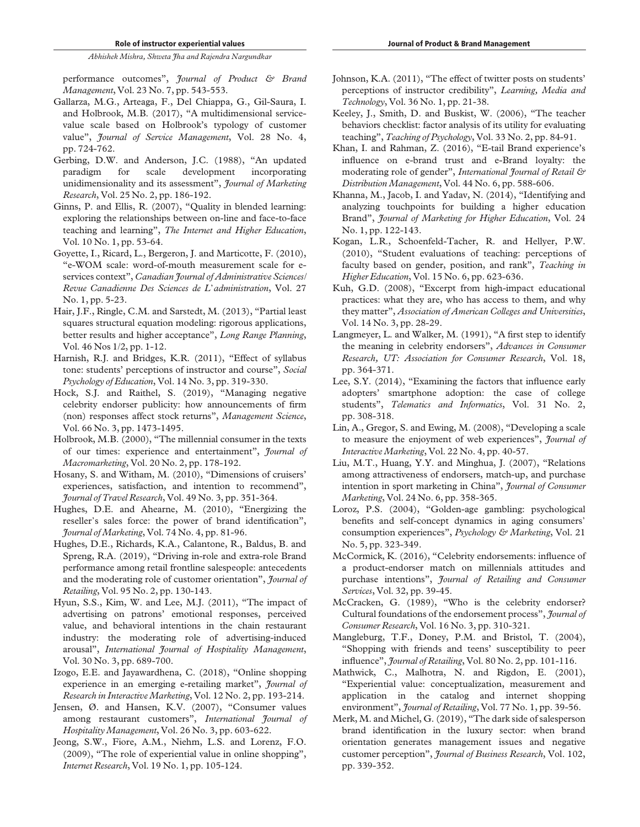performance outcomes", *Journal of Product & Brand Management*, Vol. 23 No. 7, pp. 543-553.

- Gallarza, M.G., Arteaga, F., Del Chiappa, G., Gil-Saura, I. and Holbrook, M.B. (2017), "A multidimensional servicevalue scale based on Holbrook's typology of customer value", *Journal of Service Management*, Vol. 28 No. 4, pp. 724-762.
- Gerbing, D.W. and Anderson, J.C. (1988), "An updated paradigm for scale development incorporating unidimensionality and its assessment", *Journal of Marketing Research*, Vol. 25 No. 2, pp. 186-192.
- Ginns, P. and Ellis, R. (2007), "Quality in blended learning: exploring the relationships between on-line and face-to-face teaching and learning", *The Internet and Higher Education*, Vol. 10 No. 1, pp. 53-64.
- Goyette, I., Ricard, L., Bergeron, J. and Marticotte, F. (2010), "e-WOM scale: word-of-mouth measurement scale for eservices context", *Canadian Journal of Administrative Sciences/ Revue Canadienne Des Sciences de L*'*administration*, Vol. 27 No. 1, pp. 5-23.
- Hair, J.F., Ringle, C.M. and Sarstedt, M. (2013), "Partial least squares structural equation modeling: rigorous applications, better results and higher acceptance", *Long Range Planning*, Vol. 46 Nos 1/2, pp. 1-12.
- Harnish, R.J. and Bridges, K.R. (2011), "Effect of syllabus tone: students' perceptions of instructor and course", *Social Psychology of Education*, Vol. 14 No. 3, pp. 319-330.
- Hock, S.J. and Raithel, S. (2019), "Managing negative celebrity endorser publicity: how announcements of firm (non) responses affect stock returns", *Management Science*, Vol. 66 No. 3, pp. 1473-1495.
- Holbrook, M.B. (2000), "The millennial consumer in the texts of our times: experience and entertainment", *Journal of Macromarketing*, Vol. 20 No. 2, pp. 178-192.
- Hosany, S. and Witham, M. (2010), "Dimensions of cruisers' experiences, satisfaction, and intention to recommend", *Journal of Travel Research*, Vol. 49 No. 3, pp. 351-364.
- Hughes, D.E. and Ahearne, M. (2010), "Energizing the reseller's sales force: the power of brand identification", *Journal of Marketing*, Vol. 74 No. 4, pp. 81-96.
- Hughes, D.E., Richards, K.A., Calantone, R., Baldus, B. and Spreng, R.A. (2019), "Driving in-role and extra-role Brand performance among retail frontline salespeople: antecedents and the moderating role of customer orientation", *Journal of Retailing*, Vol. 95 No. 2, pp. 130-143.
- Hyun, S.S., Kim, W. and Lee, M.J. (2011), "The impact of advertising on patrons' emotional responses, perceived value, and behavioral intentions in the chain restaurant industry: the moderating role of advertising-induced arousal", *International Journal of Hospitality Management*, Vol. 30 No. 3, pp. 689-700.
- Izogo, E.E. and Jayawardhena, C. (2018), "Online shopping experience in an emerging e-retailing market", *Journal of Research in Interactive Marketing*, Vol. 12 No. 2, pp. 193-214.
- Jensen, Ø. and Hansen, K.V. (2007), "Consumer values among restaurant customers", *International Journal of Hospitality Management*, Vol. 26 No. 3, pp. 603-622.
- Jeong, S.W., Fiore, A.M., Niehm, L.S. and Lorenz, F.O. (2009), "The role of experiential value in online shopping", *Internet Research*, Vol. 19 No. 1, pp. 105-124.
- Johnson, K.A. (2011), "The effect of twitter posts on students' perceptions of instructor credibility", *Learning, Media and Technology*, Vol. 36 No. 1, pp. 21-38.
- Keeley, J., Smith, D. and Buskist, W. (2006), "The teacher behaviors checklist: factor analysis of its utility for evaluating teaching", *Teaching of Psychology*, Vol. 33 No. 2, pp. 84-91.
- Khan, I. and Rahman, Z. (2016), "E-tail Brand experience's influence on e-brand trust and e-Brand loyalty: the moderating role of gender", *International Journal of Retail & Distribution Management*, Vol. 44 No. 6, pp. 588-606.
- Khanna, M., Jacob, I. and Yadav, N. (2014), "Identifying and analyzing touchpoints for building a higher education Brand", *Journal of Marketing for Higher Education*, Vol. 24 No. 1, pp. 122-143.
- Kogan, L.R., Schoenfeld-Tacher, R. and Hellyer, P.W. (2010), "Student evaluations of teaching: perceptions of faculty based on gender, position, and rank", *Teaching in Higher Education*, Vol. 15 No. 6, pp. 623-636.
- Kuh, G.D. (2008), "Excerpt from high-impact educational practices: what they are, who has access to them, and why they matter", *Association of American Colleges and Universities*, Vol. 14 No. 3, pp. 28-29.
- Langmeyer, L. and Walker, M. (1991), "A first step to identify the meaning in celebrity endorsers", *Advances in Consumer Research, UT: Association for Consumer Research*, Vol. 18, pp. 364-371.
- Lee, S.Y. (2014), "Examining the factors that influence early adopters' smartphone adoption: the case of college students", *Telematics and Informatics*, Vol. 31 No. 2, pp. 308-318.
- Lin, A., Gregor, S. and Ewing, M. (2008), "Developing a scale to measure the enjoyment of web experiences", *Journal of Interactive Marketing*, Vol. 22 No. 4, pp. 40-57.
- Liu, M.T., Huang, Y.Y. and Minghua, J. (2007), "Relations among attractiveness of endorsers, match-up, and purchase intention in sport marketing in China", *Journal of Consumer Marketing*, Vol. 24 No. 6, pp. 358-365.
- Loroz, P.S. (2004), "Golden-age gambling: psychological benefits and self-concept dynamics in aging consumers' consumption experiences", *Psychology & Marketing*, Vol. 21 No. 5, pp. 323-349.
- McCormick, K. (2016), "Celebrity endorsements: influence of a product-endorser match on millennials attitudes and purchase intentions", *Journal of Retailing and Consumer Services*, Vol. 32, pp. 39-45.
- McCracken, G. (1989), "Who is the celebrity endorser? Cultural foundations of the endorsement process", *Journal of Consumer Research*, Vol. 16 No. 3, pp. 310-321.
- Mangleburg, T.F., Doney, P.M. and Bristol, T. (2004), "Shopping with friends and teens' susceptibility to peer influence", *Journal of Retailing*, Vol. 80 No. 2, pp. 101-116.
- Mathwick, C., Malhotra, N. and Rigdon, E. (2001), "Experiential value: conceptualization, measurement and application in the catalog and internet shopping environment", *Journal of Retailing*, Vol. 77 No. 1, pp. 39-56.
- Merk, M. and Michel, G. (2019), "The dark side of salesperson brand identification in the luxury sector: when brand orientation generates management issues and negative customer perception", *Journal of Business Research*, Vol. 102, pp. 339-352.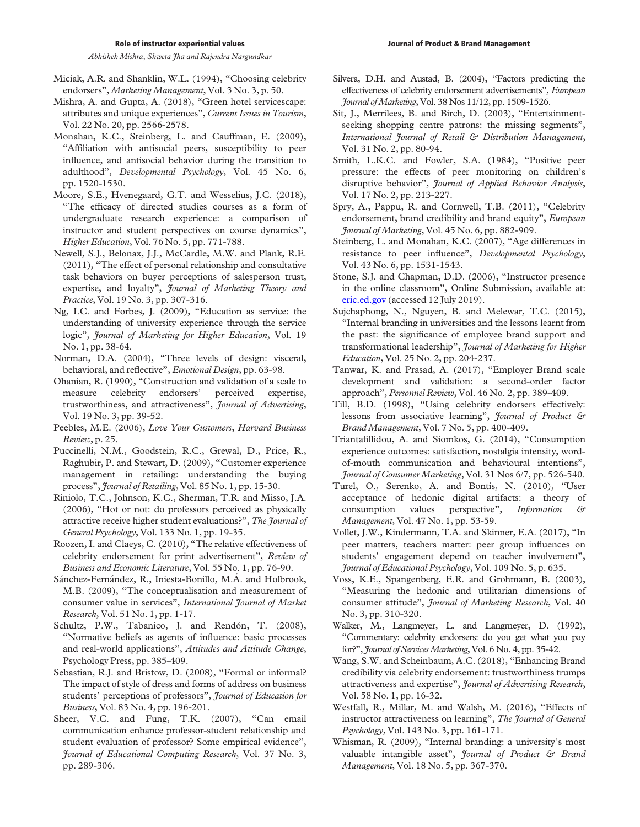- Miciak, A.R. and Shanklin, W.L. (1994), "Choosing celebrity endorsers", *Marketing Management*, Vol. 3 No. 3, p. 50.
- Mishra, A. and Gupta, A. (2018), "Green hotel servicescape: attributes and unique experiences", *Current Issues in Tourism*, Vol. 22 No. 20, pp. 2566-2578.
- Monahan, K.C., Steinberg, L. and Cauffman, E. (2009), "Affiliation with antisocial peers, susceptibility to peer influence, and antisocial behavior during the transition to adulthood", *Developmental Psychology*, Vol. 45 No. 6, pp. 1520-1530.
- Moore, S.E., Hvenegaard, G.T. and Wesselius, J.C. (2018), "The efficacy of directed studies courses as a form of undergraduate research experience: a comparison of instructor and student perspectives on course dynamics", *Higher Education*, Vol. 76 No. 5, pp. 771-788.
- Newell, S.J., Belonax, J.J., McCardle, M.W. and Plank, R.E. (2011), "The effect of personal relationship and consultative task behaviors on buyer perceptions of salesperson trust, expertise, and loyalty", *Journal of Marketing Theory and Practice*, Vol. 19 No. 3, pp. 307-316.
- Ng, I.C. and Forbes, J. (2009), "Education as service: the understanding of university experience through the service logic", *Journal of Marketing for Higher Education*, Vol. 19 No. 1, pp. 38-64.
- Norman, D.A. (2004), "Three levels of design: visceral, behavioral, and reflective", *Emotional Design*, pp. 63-98.
- Ohanian, R. (1990), "Construction and validation of a scale to measure celebrity endorsers' perceived expertise, trustworthiness, and attractiveness", *Journal of Advertising*, Vol. 19 No. 3, pp. 39-52.
- Peebles, M.E. (2006), *Love Your Customers*, *Harvard Business Review*, p. 25.
- Puccinelli, N.M., Goodstein, R.C., Grewal, D., Price, R., Raghubir, P. and Stewart, D. (2009), "Customer experience management in retailing: understanding the buying process", *Journal of Retailing*, Vol. 85 No. 1, pp. 15-30.
- Riniolo, T.C., Johnson, K.C., Sherman, T.R. and Misso, J.A. (2006), "Hot or not: do professors perceived as physically attractive receive higher student evaluations?", *The Journal of General Psychology*, Vol. 133 No. 1, pp. 19-35.
- Roozen, I. and Claeys, C. (2010), "The relative effectiveness of celebrity endorsement for print advertisement", *Review of Business and Economic Literature*, Vol. 55 No. 1, pp. 76-90.
- Sánchez-Fernández, R., Iniesta-Bonillo, M.Á. and Holbrook, M.B. (2009), "The conceptualisation and measurement of consumer value in services", *International Journal of Market Research*, Vol. 51 No. 1, pp. 1-17.
- Schultz, P.W., Tabanico, J. and Rendón, T. (2008), "Normative beliefs as agents of influence: basic processes and real-world applications", *Attitudes and Attitude Change*, Psychology Press, pp. 385-409.
- Sebastian, R.J. and Bristow, D. (2008), "Formal or informal? The impact of style of dress and forms of address on business students' perceptions of professors", *Journal of Education for Business*, Vol. 83 No. 4, pp. 196-201.
- Sheer, V.C. and Fung, T.K. (2007), "Can email communication enhance professor-student relationship and student evaluation of professor? Some empirical evidence", *Journal of Educational Computing Research*, Vol. 37 No. 3, pp. 289-306.
- Silvera, D.H. and Austad, B. (2004), "Factors predicting the effectiveness of celebrity endorsement advertisements", *European Journal ofMarketing*, Vol. 38 Nos 11/12, pp. 1509-1526.
- Sit, J., Merrilees, B. and Birch, D. (2003), "Entertainmentseeking shopping centre patrons: the missing segments", *International Journal of Retail & Distribution Management*, Vol. 31 No. 2, pp. 80-94.
- Smith, L.K.C. and Fowler, S.A. (1984), "Positive peer pressure: the effects of peer monitoring on children's disruptive behavior", *Journal of Applied Behavior Analysis*, Vol. 17 No. 2, pp. 213-227.
- Spry, A., Pappu, R. and Cornwell, T.B. (2011), "Celebrity endorsement, brand credibility and brand equity", *European Journal of Marketing*, Vol. 45 No. 6, pp. 882-909.
- Steinberg, L. and Monahan, K.C. (2007), "Age differences in resistance to peer influence", *Developmental Psychology*, Vol. 43 No. 6, pp. 1531-1543.
- Stone, S.J. and Chapman, D.D. (2006), "Instructor presence in the online classroom", Online Submission, available at: eric.ed.gov (accessed 12 July 2019).
- Sujchaphong, N., Nguyen, B. and Melewar, T.C. (2015), "Internal branding in universities and the lessons learnt from the past: the significance of employee brand support and transformational leadership", *Journal of Marketing for Higher Education*, Vol. 25 No. 2, pp. 204-237.
- Tanwar, K. and Prasad, A. (2017), "Employer Brand scale development and validation: a second-order factor approach", *Personnel Review*, Vol. 46 No. 2, pp. 389-409.
- Till, B.D. (1998), "Using celebrity endorsers effectively: lessons from associative learning", *Journal of Product & Brand Management*, Vol. 7 No. 5, pp. 400-409.
- Triantafillidou, A. and Siomkos, G. (2014), "Consumption experience outcomes: satisfaction, nostalgia intensity, wordof-mouth communication and behavioural intentions", *Journal of Consumer Marketing*, Vol. 31 Nos 6/7, pp. 526-540.
- Turel, O., Serenko, A. and Bontis, N. (2010), "User acceptance of hedonic digital artifacts: a theory of consumption values perspective", *Information & Management*, Vol. 47 No. 1, pp. 53-59.
- Vollet, J.W., Kindermann, T.A. and Skinner, E.A. (2017), "In peer matters, teachers matter: peer group influences on students' engagement depend on teacher involvement", *Journal of Educational Psychology*, Vol. 109 No. 5, p. 635.
- Voss, K.E., Spangenberg, E.R. and Grohmann, B. (2003), "Measuring the hedonic and utilitarian dimensions of consumer attitude", *Journal of Marketing Research*, Vol. 40 No. 3, pp. 310-320.
- Walker, M., Langmeyer, L. and Langmeyer, D. (1992), "Commentary: celebrity endorsers: do you get what you pay for?", *Journal of ServicesMarketing*, Vol. 6 No. 4, pp. 35-42.
- Wang, S.W. and Scheinbaum, A.C. (2018), "Enhancing Brand credibility via celebrity endorsement: trustworthiness trumps attractiveness and expertise", *Journal of Advertising Research*, Vol. 58 No. 1, pp. 16-32.
- Westfall, R., Millar, M. and Walsh, M. (2016), "Effects of instructor attractiveness on learning", *The Journal of General Psychology*, Vol. 143 No. 3, pp. 161-171.
- Whisman, R. (2009), "Internal branding: a university's most valuable intangible asset", *Journal of Product & Brand Management*, Vol. 18 No. 5, pp. 367-370.